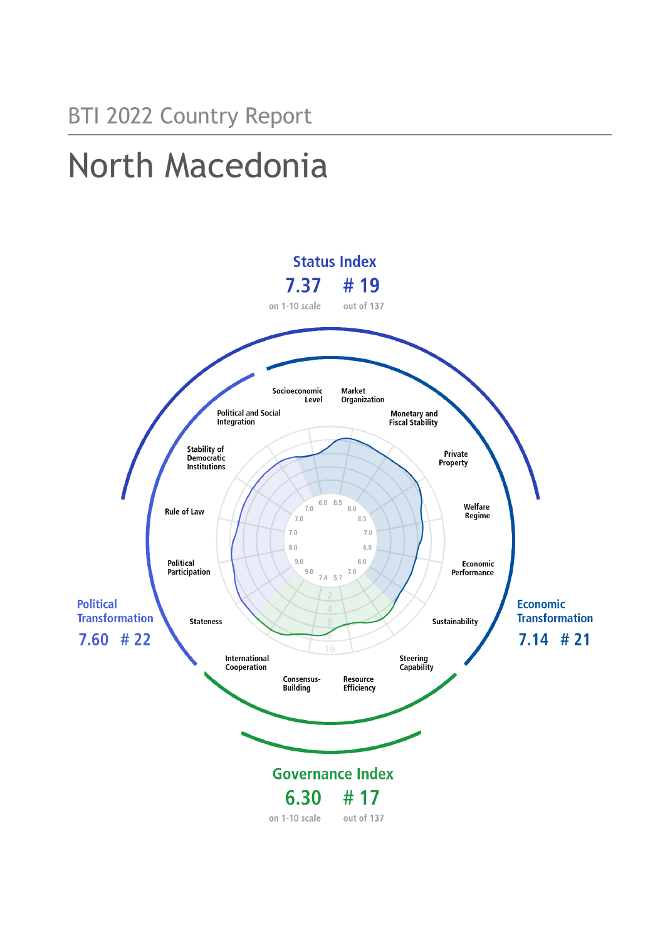# North Macedonia

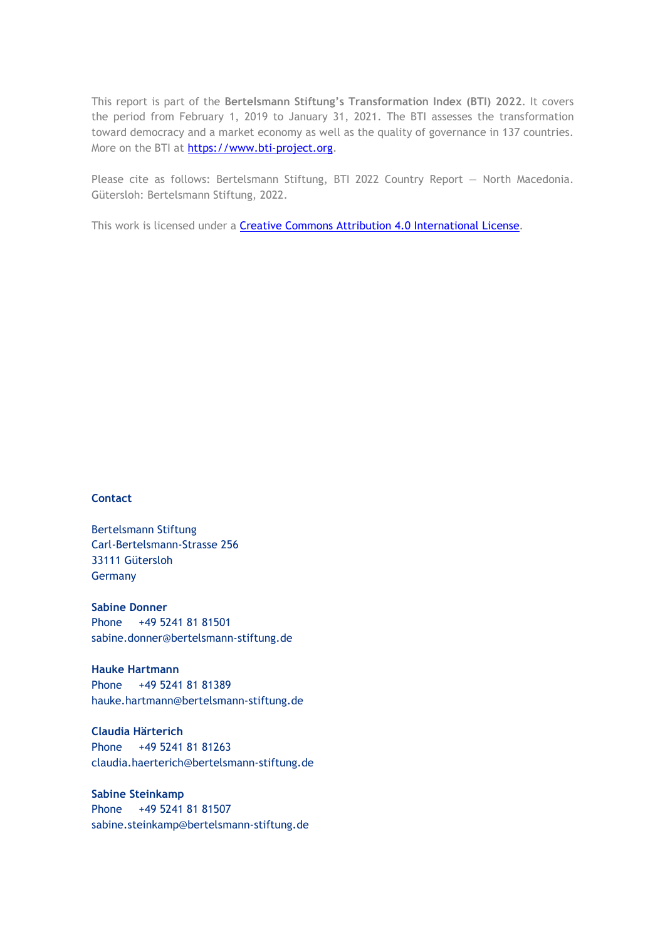This report is part of the **Bertelsmann Stiftung's Transformation Index (BTI) 2022**. It covers the period from February 1, 2019 to January 31, 2021. The BTI assesses the transformation toward democracy and a market economy as well as the quality of governance in 137 countries. More on the BTI at [https://www.bti-project.org.](http://www.bti-project.org/)

Please cite as follows: Bertelsmann Stiftung, BTI 2022 Country Report — North Macedonia. Gütersloh: Bertelsmann Stiftung, 2022.

This work is licensed under a **Creative Commons Attribution 4.0 International License**.

#### **Contact**

Bertelsmann Stiftung Carl-Bertelsmann-Strasse 256 33111 Gütersloh Germany

**Sabine Donner** Phone +49 5241 81 81501 sabine.donner@bertelsmann-stiftung.de

**Hauke Hartmann** Phone +49 5241 81 81389 hauke.hartmann@bertelsmann-stiftung.de

**Claudia Härterich** Phone +49 5241 81 81263 claudia.haerterich@bertelsmann-stiftung.de

#### **Sabine Steinkamp** Phone +49 5241 81 81507 sabine.steinkamp@bertelsmann-stiftung.de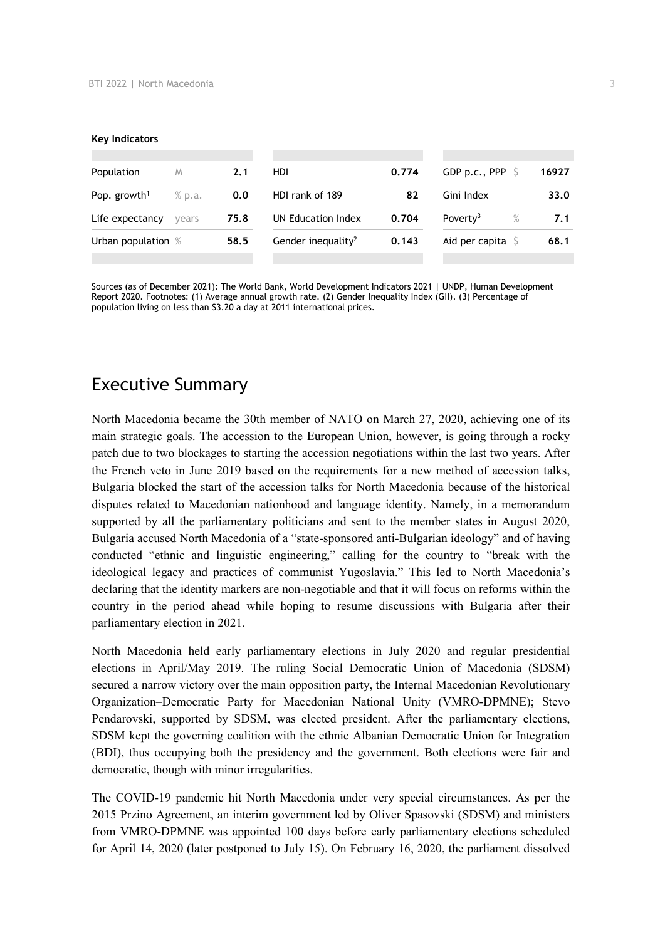#### **Key Indicators**

| Population               | M      | 2.1  | HDI                            | 0.774 | GDP p.c., PPP                | 16927 |
|--------------------------|--------|------|--------------------------------|-------|------------------------------|-------|
| Pop. growth <sup>1</sup> | % p.a. | 0.0  | HDI rank of 189                | 82    | Gini Index                   | 33.0  |
| Life expectancy          | vears  | 75.8 | UN Education Index             | 0.704 | Poverty <sup>3</sup><br>$\%$ | 7.1   |
| Urban population %       |        | 58.5 | Gender inequality <sup>2</sup> | 0.143 | Aid per capita               | 68.1  |
|                          |        |      |                                |       |                              |       |

Sources (as of December 2021): The World Bank, World Development Indicators 2021 | UNDP, Human Development Report 2020. Footnotes: (1) Average annual growth rate. (2) Gender Inequality Index (GII). (3) Percentage of population living on less than \$3.20 a day at 2011 international prices.

# Executive Summary

North Macedonia became the 30th member of NATO on March 27, 2020, achieving one of its main strategic goals. The accession to the European Union, however, is going through a rocky patch due to two blockages to starting the accession negotiations within the last two years. After the French veto in June 2019 based on the requirements for a new method of accession talks, Bulgaria blocked the start of the accession talks for North Macedonia because of the historical disputes related to Macedonian nationhood and language identity. Namely, in a memorandum supported by all the parliamentary politicians and sent to the member states in August 2020, Bulgaria accused North Macedonia of a "state-sponsored anti-Bulgarian ideology" and of having conducted "ethnic and linguistic engineering," calling for the country to "break with the ideological legacy and practices of communist Yugoslavia." This led to North Macedonia's declaring that the identity markers are non-negotiable and that it will focus on reforms within the country in the period ahead while hoping to resume discussions with Bulgaria after their parliamentary election in 2021.

North Macedonia held early parliamentary elections in July 2020 and regular presidential elections in April/May 2019. The ruling Social Democratic Union of Macedonia (SDSM) secured a narrow victory over the main opposition party, the Internal Macedonian Revolutionary Organization–Democratic Party for Macedonian National Unity (VMRO-DPMNE); Stevo Pendarovski, supported by SDSM, was elected president. After the parliamentary elections, SDSM kept the governing coalition with the ethnic Albanian Democratic Union for Integration (BDI), thus occupying both the presidency and the government. Both elections were fair and democratic, though with minor irregularities.

The COVID-19 pandemic hit North Macedonia under very special circumstances. As per the 2015 Przino Agreement, an interim government led by Oliver Spasovski (SDSM) and ministers from VMRO-DPMNE was appointed 100 days before early parliamentary elections scheduled for April 14, 2020 (later postponed to July 15). On February 16, 2020, the parliament dissolved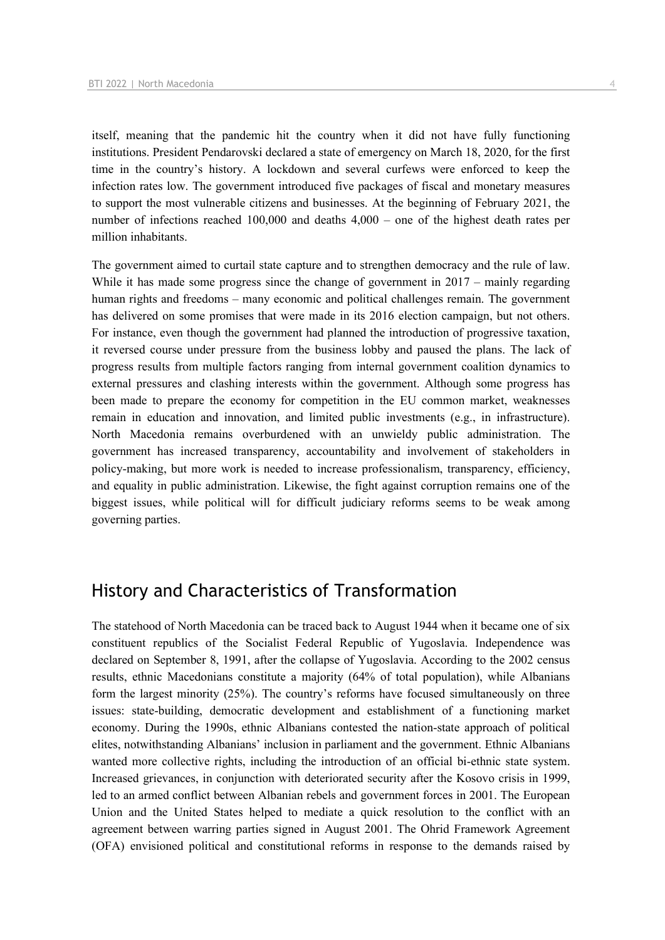itself, meaning that the pandemic hit the country when it did not have fully functioning institutions. President Pendarovski declared a state of emergency on March 18, 2020, for the first time in the country's history. A lockdown and several curfews were enforced to keep the infection rates low. The government introduced five packages of fiscal and monetary measures to support the most vulnerable citizens and businesses. At the beginning of February 2021, the number of infections reached 100,000 and deaths 4,000 – one of the highest death rates per million inhabitants.

The government aimed to curtail state capture and to strengthen democracy and the rule of law. While it has made some progress since the change of government in 2017 – mainly regarding human rights and freedoms – many economic and political challenges remain. The government has delivered on some promises that were made in its 2016 election campaign, but not others. For instance, even though the government had planned the introduction of progressive taxation, it reversed course under pressure from the business lobby and paused the plans. The lack of progress results from multiple factors ranging from internal government coalition dynamics to external pressures and clashing interests within the government. Although some progress has been made to prepare the economy for competition in the EU common market, weaknesses remain in education and innovation, and limited public investments (e.g., in infrastructure). North Macedonia remains overburdened with an unwieldy public administration. The government has increased transparency, accountability and involvement of stakeholders in policy‑making, but more work is needed to increase professionalism, transparency, efficiency, and equality in public administration. Likewise, the fight against corruption remains one of the biggest issues, while political will for difficult judiciary reforms seems to be weak among governing parties.

# History and Characteristics of Transformation

The statehood of North Macedonia can be traced back to August 1944 when it became one of six constituent republics of the Socialist Federal Republic of Yugoslavia. Independence was declared on September 8, 1991, after the collapse of Yugoslavia. According to the 2002 census results, ethnic Macedonians constitute a majority (64% of total population), while Albanians form the largest minority (25%). The country's reforms have focused simultaneously on three issues: state-building, democratic development and establishment of a functioning market economy. During the 1990s, ethnic Albanians contested the nation-state approach of political elites, notwithstanding Albanians' inclusion in parliament and the government. Ethnic Albanians wanted more collective rights, including the introduction of an official bi-ethnic state system. Increased grievances, in conjunction with deteriorated security after the Kosovo crisis in 1999, led to an armed conflict between Albanian rebels and government forces in 2001. The European Union and the United States helped to mediate a quick resolution to the conflict with an agreement between warring parties signed in August 2001. The Ohrid Framework Agreement (OFA) envisioned political and constitutional reforms in response to the demands raised by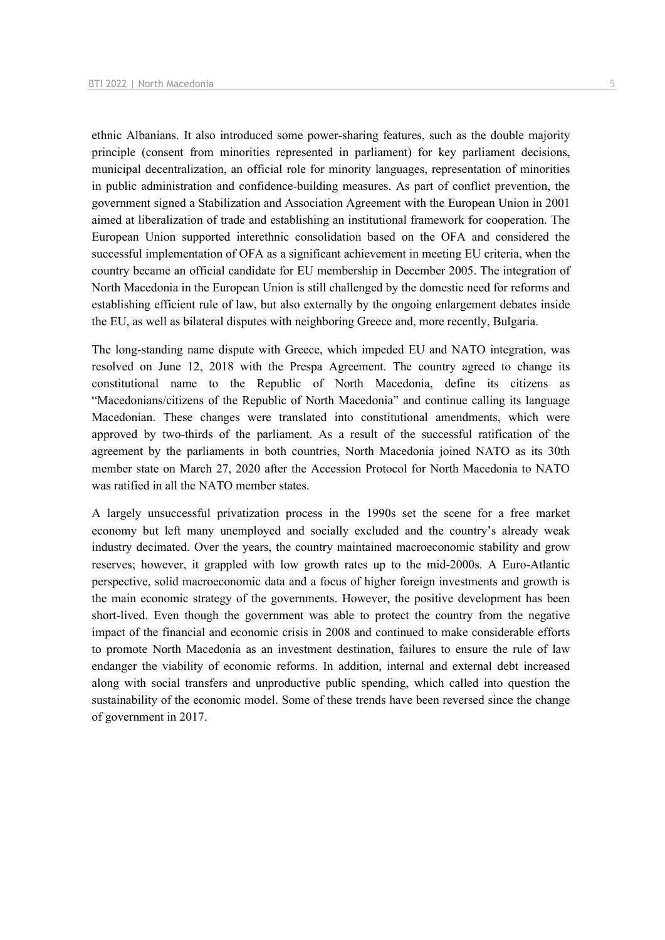ethnic Albanians. It also introduced some power-sharing features, such as the double majority principle (consent from minorities represented in parliament) for key parliament decisions, municipal decentralization, an official role for minority languages, representation of minorities in public administration and confidence-building measures. As part of conflict prevention, the government signed a Stabilization and Association Agreement with the European Union in 2001 aimed at liberalization of trade and establishing an institutional framework for cooperation. The European Union supported interethnic consolidation based on the OFA and considered the successful implementation of OFA as a significant achievement in meeting EU criteria, when the country became an official candidate for EU membership in December 2005. The integration of North Macedonia in the European Union is still challenged by the domestic need for reforms and establishing efficient rule of law, but also externally by the ongoing enlargement debates inside the EU, as well as bilateral disputes with neighboring Greece and, more recently, Bulgaria.

The long-standing name dispute with Greece, which impeded EU and NATO integration, was resolved on June 12, 2018 with the Prespa Agreement. The country agreed to change its constitutional name to the Republic of North Macedonia, define its citizens as "Macedonians/citizens of the Republic of North Macedonia" and continue calling its language Macedonian. These changes were translated into constitutional amendments, which were approved by two-thirds of the parliament. As a result of the successful ratification of the agreement by the parliaments in both countries, North Macedonia joined NATO as its 30th member state on March 27, 2020 after the Accession Protocol for North Macedonia to NATO was ratified in all the NATO member states.

A largely unsuccessful privatization process in the 1990s set the scene for a free market economy but left many unemployed and socially excluded and the country's already weak industry decimated. Over the years, the country maintained macroeconomic stability and grow reserves; however, it grappled with low growth rates up to the mid-2000s. A Euro-Atlantic perspective, solid macroeconomic data and a focus of higher foreign investments and growth is the main economic strategy of the governments. However, the positive development has been short-lived. Even though the government was able to protect the country from the negative impact of the financial and economic crisis in 2008 and continued to make considerable efforts to promote North Macedonia as an investment destination, failures to ensure the rule of law endanger the viability of economic reforms. In addition, internal and external debt increased along with social transfers and unproductive public spending, which called into question the sustainability of the economic model. Some of these trends have been reversed since the change of government in 2017.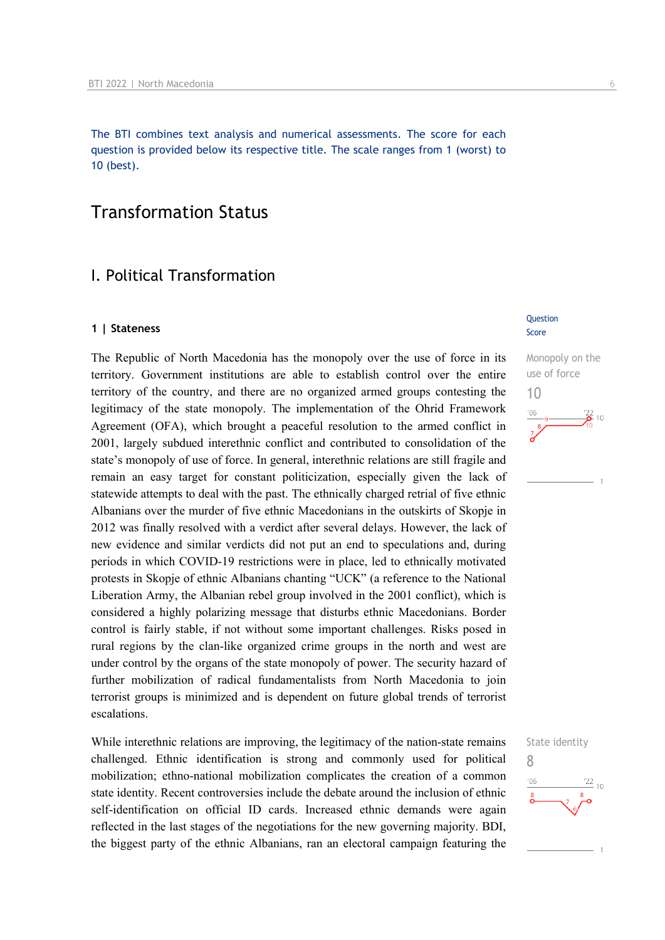The BTI combines text analysis and numerical assessments. The score for each question is provided below its respective title. The scale ranges from 1 (worst) to 10 (best).

# Transformation Status

## I. Political Transformation

#### **1 | Stateness**

The Republic of North Macedonia has the monopoly over the use of force in its territory. Government institutions are able to establish control over the entire territory of the country, and there are no organized armed groups contesting the legitimacy of the state monopoly. The implementation of the Ohrid Framework Agreement (OFA), which brought a peaceful resolution to the armed conflict in 2001, largely subdued interethnic conflict and contributed to consolidation of the state's monopoly of use of force. In general, interethnic relations are still fragile and remain an easy target for constant politicization, especially given the lack of statewide attempts to deal with the past. The ethnically charged retrial of five ethnic Albanians over the murder of five ethnic Macedonians in the outskirts of Skopje in 2012 was finally resolved with a verdict after several delays. However, the lack of new evidence and similar verdicts did not put an end to speculations and, during periods in which COVID-19 restrictions were in place, led to ethnically motivated protests in Skopje of ethnic Albanians chanting "UCK" (a reference to the National Liberation Army, the Albanian rebel group involved in the 2001 conflict), which is considered a highly polarizing message that disturbs ethnic Macedonians. Border control is fairly stable, if not without some important challenges. Risks posed in rural regions by the clan-like organized crime groups in the north and west are under control by the organs of the state monopoly of power. The security hazard of further mobilization of radical fundamentalists from North Macedonia to join terrorist groups is minimized and is dependent on future global trends of terrorist escalations.

While interethnic relations are improving, the legitimacy of the nation-state remains challenged. Ethnic identification is strong and commonly used for political mobilization; ethno-national mobilization complicates the creation of a common state identity. Recent controversies include the debate around the inclusion of ethnic self-identification on official ID cards. Increased ethnic demands were again reflected in the last stages of the negotiations for the new governing majority. BDI, the biggest party of the ethnic Albanians, ran an electoral campaign featuring the

#### Question Score



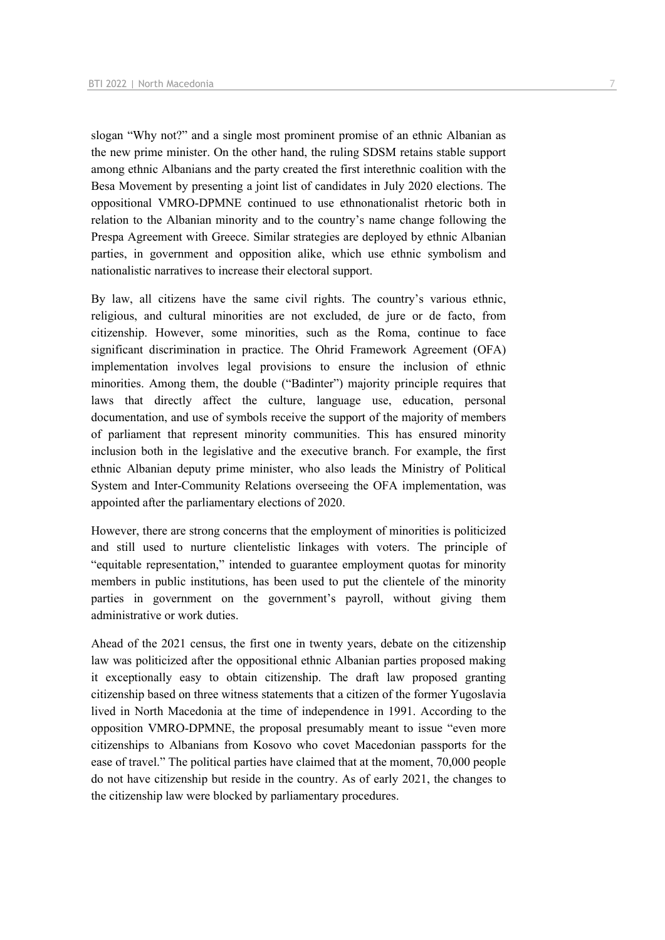slogan "Why not?" and a single most prominent promise of an ethnic Albanian as the new prime minister. On the other hand, the ruling SDSM retains stable support among ethnic Albanians and the party created the first interethnic coalition with the Besa Movement by presenting a joint list of candidates in July 2020 elections. The oppositional VMRO-DPMNE continued to use ethnonationalist rhetoric both in relation to the Albanian minority and to the country's name change following the Prespa Agreement with Greece. Similar strategies are deployed by ethnic Albanian parties, in government and opposition alike, which use ethnic symbolism and nationalistic narratives to increase their electoral support.

By law, all citizens have the same civil rights. The country's various ethnic, religious, and cultural minorities are not excluded, de jure or de facto, from citizenship. However, some minorities, such as the Roma, continue to face significant discrimination in practice. The Ohrid Framework Agreement (OFA) implementation involves legal provisions to ensure the inclusion of ethnic minorities. Among them, the double ("Badinter") majority principle requires that laws that directly affect the culture, language use, education, personal documentation, and use of symbols receive the support of the majority of members of parliament that represent minority communities. This has ensured minority inclusion both in the legislative and the executive branch. For example, the first ethnic Albanian deputy prime minister, who also leads the Ministry of Political System and Inter-Community Relations overseeing the OFA implementation, was appointed after the parliamentary elections of 2020.

However, there are strong concerns that the employment of minorities is politicized and still used to nurture clientelistic linkages with voters. The principle of "equitable representation," intended to guarantee employment quotas for minority members in public institutions, has been used to put the clientele of the minority parties in government on the government's payroll, without giving them administrative or work duties.

Ahead of the 2021 census, the first one in twenty years, debate on the citizenship law was politicized after the oppositional ethnic Albanian parties proposed making it exceptionally easy to obtain citizenship. The draft law proposed granting citizenship based on three witness statements that a citizen of the former Yugoslavia lived in North Macedonia at the time of independence in 1991. According to the opposition VMRO-DPMNE, the proposal presumably meant to issue "even more citizenships to Albanians from Kosovo who covet Macedonian passports for the ease of travel." The political parties have claimed that at the moment, 70,000 people do not have citizenship but reside in the country. As of early 2021, the changes to the citizenship law were blocked by parliamentary procedures.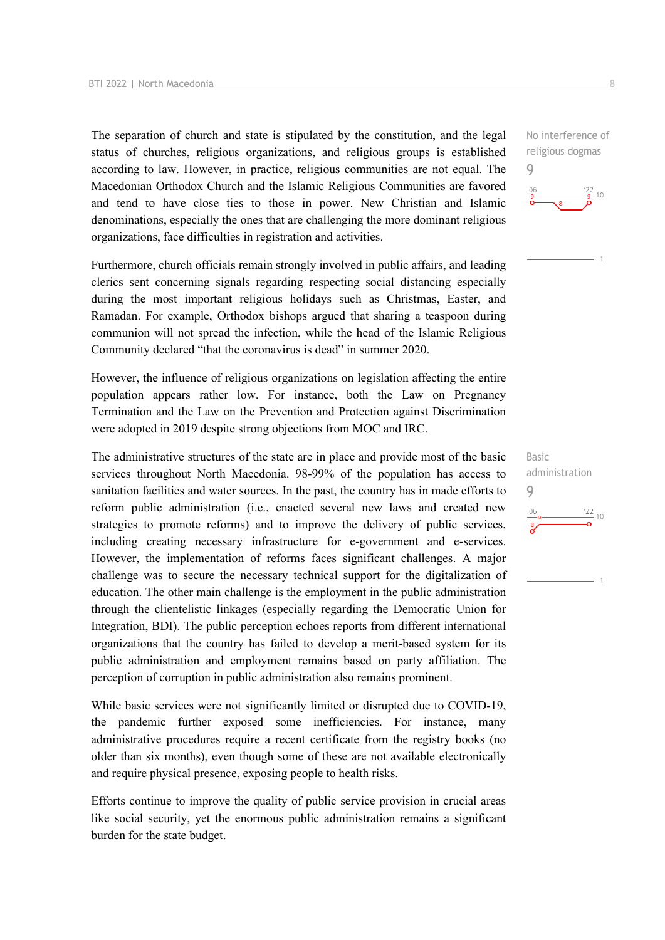The separation of church and state is stipulated by the constitution, and the legal status of churches, religious organizations, and religious groups is established according to law. However, in practice, religious communities are not equal. The Macedonian Orthodox Church and the Islamic Religious Communities are favored and tend to have close ties to those in power. New Christian and Islamic denominations, especially the ones that are challenging the more dominant religious organizations, face difficulties in registration and activities.

Furthermore, church officials remain strongly involved in public affairs, and leading clerics sent concerning signals regarding respecting social distancing especially during the most important religious holidays such as Christmas, Easter, and Ramadan. For example, Orthodox bishops argued that sharing a teaspoon during communion will not spread the infection, while the head of the Islamic Religious Community declared "that the coronavirus is dead" in summer 2020.

However, the influence of religious organizations on legislation affecting the entire population appears rather low. For instance, both the Law on Pregnancy Termination and the Law on the Prevention and Protection against Discrimination were adopted in 2019 despite strong objections from MOC and IRC.

The administrative structures of the state are in place and provide most of the basic services throughout North Macedonia. 98-99% of the population has access to sanitation facilities and water sources. In the past, the country has in made efforts to reform public administration (i.e., enacted several new laws and created new strategies to promote reforms) and to improve the delivery of public services, including creating necessary infrastructure for e-government and e-services. However, the implementation of reforms faces significant challenges. A major challenge was to secure the necessary technical support for the digitalization of education. The other main challenge is the employment in the public administration through the clientelistic linkages (especially regarding the Democratic Union for Integration, BDI). The public perception echoes reports from different international organizations that the country has failed to develop a merit-based system for its public administration and employment remains based on party affiliation. The perception of corruption in public administration also remains prominent.

While basic services were not significantly limited or disrupted due to COVID-19, the pandemic further exposed some inefficiencies. For instance, many administrative procedures require a recent certificate from the registry books (no older than six months), even though some of these are not available electronically and require physical presence, exposing people to health risks.

Efforts continue to improve the quality of public service provision in crucial areas like social security, yet the enormous public administration remains a significant burden for the state budget.

No interference of religious dogmas 9



Basic administration 9 $\frac{22}{10}$  $'06$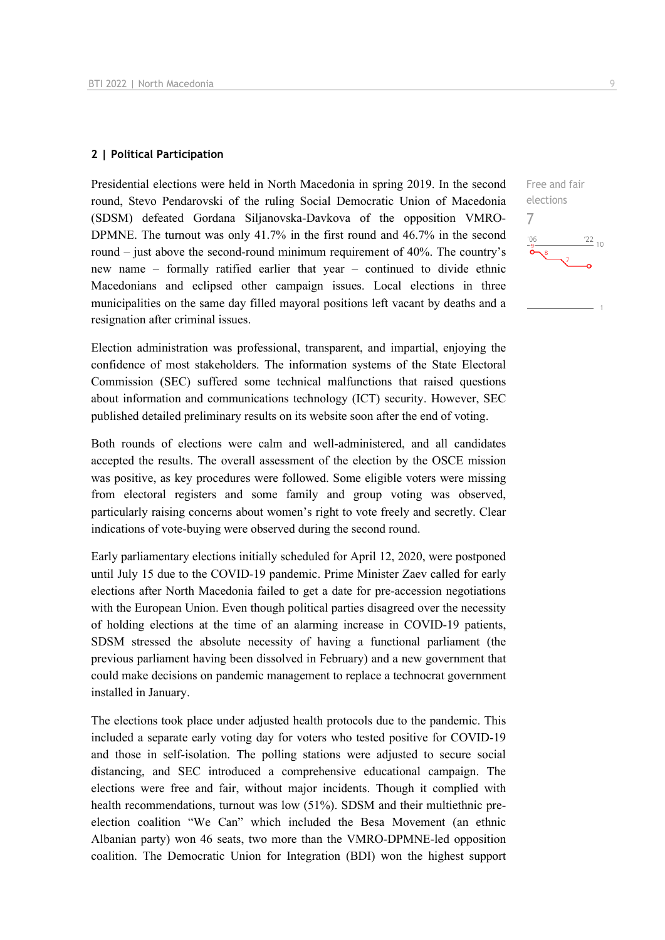#### **2 | Political Participation**

Presidential elections were held in North Macedonia in spring 2019. In the second round, Stevo Pendarovski of the ruling Social Democratic Union of Macedonia (SDSM) defeated Gordana Siljanovska-Davkova of the opposition VMRO-DPMNE. The turnout was only 41.7% in the first round and 46.7% in the second round – just above the second-round minimum requirement of 40%. The country's new name – formally ratified earlier that year – continued to divide ethnic Macedonians and eclipsed other campaign issues. Local elections in three municipalities on the same day filled mayoral positions left vacant by deaths and a resignation after criminal issues.

Election administration was professional, transparent, and impartial, enjoying the confidence of most stakeholders. The information systems of the State Electoral Commission (SEC) suffered some technical malfunctions that raised questions about information and communications technology (ICT) security. However, SEC published detailed preliminary results on its website soon after the end of voting.

Both rounds of elections were calm and well-administered, and all candidates accepted the results. The overall assessment of the election by the OSCE mission was positive, as key procedures were followed. Some eligible voters were missing from electoral registers and some family and group voting was observed, particularly raising concerns about women's right to vote freely and secretly. Clear indications of vote-buying were observed during the second round.

Early parliamentary elections initially scheduled for April 12, 2020, were postponed until July 15 due to the COVID-19 pandemic. Prime Minister Zaev called for early elections after North Macedonia failed to get a date for pre-accession negotiations with the European Union. Even though political parties disagreed over the necessity of holding elections at the time of an alarming increase in COVID-19 patients, SDSM stressed the absolute necessity of having a functional parliament (the previous parliament having been dissolved in February) and a new government that could make decisions on pandemic management to replace a technocrat government installed in January.

The elections took place under adjusted health protocols due to the pandemic. This included a separate early voting day for voters who tested positive for COVID-19 and those in self-isolation. The polling stations were adjusted to secure social distancing, and SEC introduced a comprehensive educational campaign. The elections were free and fair, without major incidents. Though it complied with health recommendations, turnout was low (51%). SDSM and their multiethnic preelection coalition "We Can" which included the Besa Movement (an ethnic Albanian party) won 46 seats, two more than the VMRO-DPMNE-led opposition coalition. The Democratic Union for Integration (BDI) won the highest support

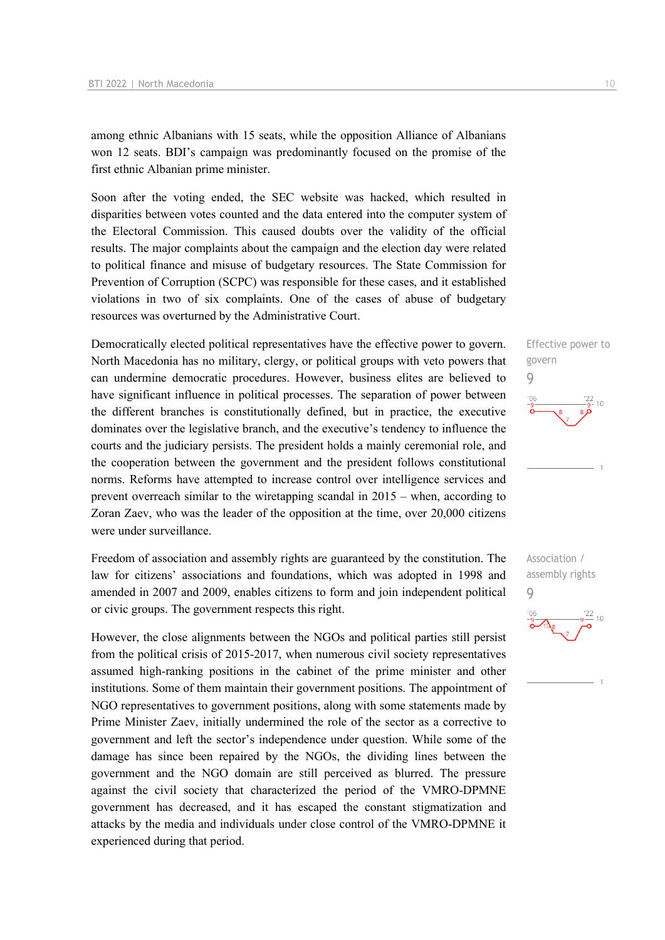among ethnic Albanians with 15 seats, while the opposition Alliance of Albanians won 12 seats. BDI's campaign was predominantly focused on the promise of the first ethnic Albanian prime minister.

Soon after the voting ended, the SEC website was hacked, which resulted in disparities between votes counted and the data entered into the computer system of the Electoral Commission. This caused doubts over the validity of the official results. The major complaints about the campaign and the election day were related to political finance and misuse of budgetary resources. The State Commission for Prevention of Corruption (SCPC) was responsible for these cases, and it established violations in two of six complaints. One of the cases of abuse of budgetary resources was overturned by the Administrative Court.

Democratically elected political representatives have the effective power to govern. North Macedonia has no military, clergy, or political groups with veto powers that can undermine democratic procedures. However, business elites are believed to have significant influence in political processes. The separation of power between the different branches is constitutionally defined, but in practice, the executive dominates over the legislative branch, and the executive's tendency to influence the courts and the judiciary persists. The president holds a mainly ceremonial role, and the cooperation between the government and the president follows constitutional norms. Reforms have attempted to increase control over intelligence services and prevent overreach similar to the wiretapping scandal in 2015 – when, according to Zoran Zaev, who was the leader of the opposition at the time, over 20,000 citizens were under surveillance.

Freedom of association and assembly rights are guaranteed by the constitution. The law for citizens' associations and foundations, which was adopted in 1998 and amended in 2007 and 2009, enables citizens to form and join independent political or civic groups. The government respects this right.

However, the close alignments between the NGOs and political parties still persist from the political crisis of 2015-2017, when numerous civil society representatives assumed high-ranking positions in the cabinet of the prime minister and other institutions. Some of them maintain their government positions. The appointment of NGO representatives to government positions, along with some statements made by Prime Minister Zaev, initially undermined the role of the sector as a corrective to government and left the sector's independence under question. While some of the damage has since been repaired by the NGOs, the dividing lines between the government and the NGO domain are still perceived as blurred. The pressure against the civil society that characterized the period of the VMRO-DPMNE government has decreased, and it has escaped the constant stigmatization and attacks by the media and individuals under close control of the VMRO-DPMNE it experienced during that period.



9

 $106$ 

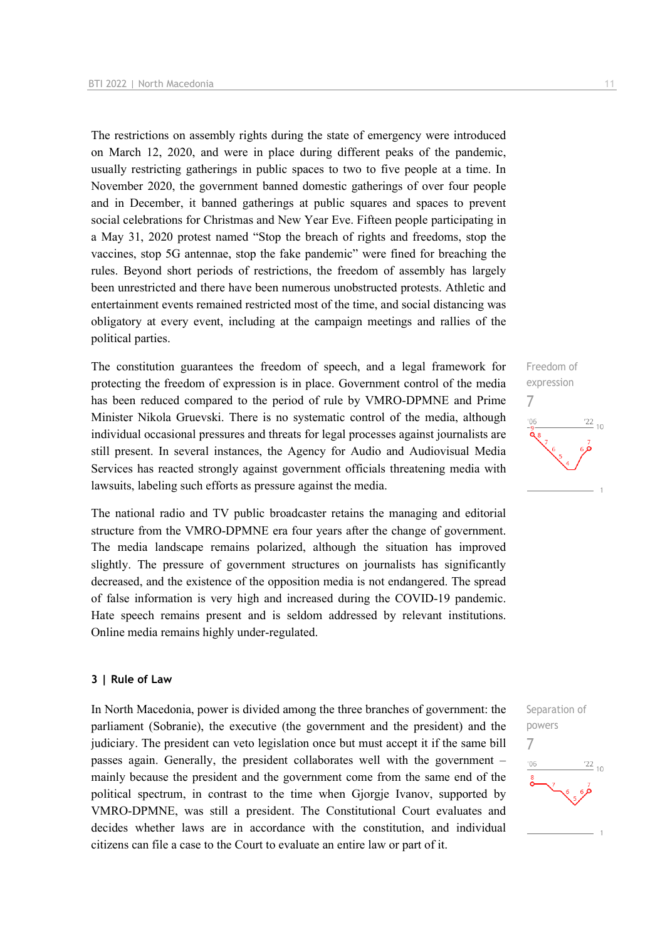The restrictions on assembly rights during the state of emergency were introduced on March 12, 2020, and were in place during different peaks of the pandemic, usually restricting gatherings in public spaces to two to five people at a time. In November 2020, the government banned domestic gatherings of over four people and in December, it banned gatherings at public squares and spaces to prevent social celebrations for Christmas and New Year Eve. Fifteen people participating in a May 31, 2020 protest named "Stop the breach of rights and freedoms, stop the vaccines, stop 5G antennae, stop the fake pandemic" were fined for breaching the rules. Beyond short periods of restrictions, the freedom of assembly has largely been unrestricted and there have been numerous unobstructed protests. Athletic and entertainment events remained restricted most of the time, and social distancing was obligatory at every event, including at the campaign meetings and rallies of the political parties.

The constitution guarantees the freedom of speech, and a legal framework for protecting the freedom of expression is in place. Government control of the media has been reduced compared to the period of rule by VMRO-DPMNE and Prime Minister Nikola Gruevski. There is no systematic control of the media, although individual occasional pressures and threats for legal processes against journalists are still present. In several instances, the Agency for Audio and Audiovisual Media Services has reacted strongly against government officials threatening media with lawsuits, labeling such efforts as pressure against the media.

The national radio and TV public broadcaster retains the managing and editorial structure from the VMRO-DPMNE era four years after the change of government. The media landscape remains polarized, although the situation has improved slightly. The pressure of government structures on journalists has significantly decreased, and the existence of the opposition media is not endangered. The spread of false information is very high and increased during the COVID-19 pandemic. Hate speech remains present and is seldom addressed by relevant institutions. Online media remains highly under-regulated.

#### **3 | Rule of Law**

In North Macedonia, power is divided among the three branches of government: the parliament (Sobranie), the executive (the government and the president) and the judiciary. The president can veto legislation once but must accept it if the same bill passes again. Generally, the president collaborates well with the government – mainly because the president and the government come from the same end of the political spectrum, in contrast to the time when Gjorgje Ivanov, supported by VMRO-DPMNE, was still a president. The Constitutional Court evaluates and decides whether laws are in accordance with the constitution, and individual citizens can file a case to the Court to evaluate an entire law or part of it.



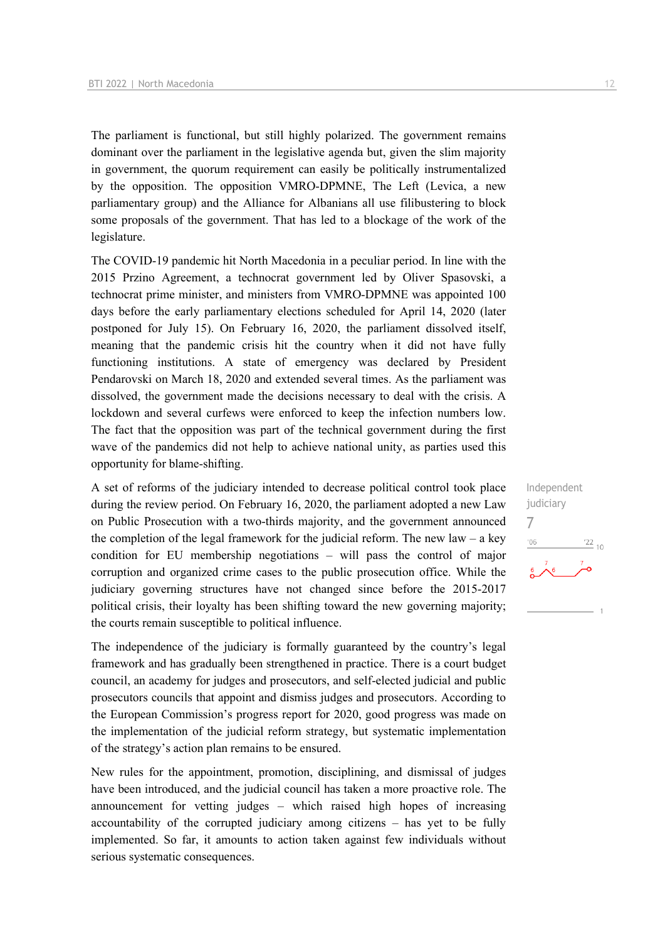The parliament is functional, but still highly polarized. The government remains dominant over the parliament in the legislative agenda but, given the slim majority in government, the quorum requirement can easily be politically instrumentalized by the opposition. The opposition VMRO-DPMNE, The Left (Levica, a new parliamentary group) and the Alliance for Albanians all use filibustering to block some proposals of the government. That has led to a blockage of the work of the legislature.

The COVID-19 pandemic hit North Macedonia in a peculiar period. In line with the 2015 Przino Agreement, a technocrat government led by Oliver Spasovski, a technocrat prime minister, and ministers from VMRO-DPMNE was appointed 100 days before the early parliamentary elections scheduled for April 14, 2020 (later postponed for July 15). On February 16, 2020, the parliament dissolved itself, meaning that the pandemic crisis hit the country when it did not have fully functioning institutions. A state of emergency was declared by President Pendarovski on March 18, 2020 and extended several times. As the parliament was dissolved, the government made the decisions necessary to deal with the crisis. A lockdown and several curfews were enforced to keep the infection numbers low. The fact that the opposition was part of the technical government during the first wave of the pandemics did not help to achieve national unity, as parties used this opportunity for blame-shifting.

A set of reforms of the judiciary intended to decrease political control took place during the review period. On February 16, 2020, the parliament adopted a new Law on Public Prosecution with a two-thirds majority, and the government announced the completion of the legal framework for the judicial reform. The new law – a key condition for EU membership negotiations – will pass the control of major corruption and organized crime cases to the public prosecution office. While the judiciary governing structures have not changed since before the 2015-2017 political crisis, their loyalty has been shifting toward the new governing majority; the courts remain susceptible to political influence.

The independence of the judiciary is formally guaranteed by the country's legal framework and has gradually been strengthened in practice. There is a court budget council, an academy for judges and prosecutors, and self-elected judicial and public prosecutors councils that appoint and dismiss judges and prosecutors. According to the European Commission's progress report for 2020, good progress was made on the implementation of the judicial reform strategy, but systematic implementation of the strategy's action plan remains to be ensured.

New rules for the appointment, promotion, disciplining, and dismissal of judges have been introduced, and the judicial council has taken a more proactive role. The announcement for vetting judges – which raised high hopes of increasing accountability of the corrupted judiciary among citizens – has yet to be fully implemented. So far, it amounts to action taken against few individuals without serious systematic consequences.

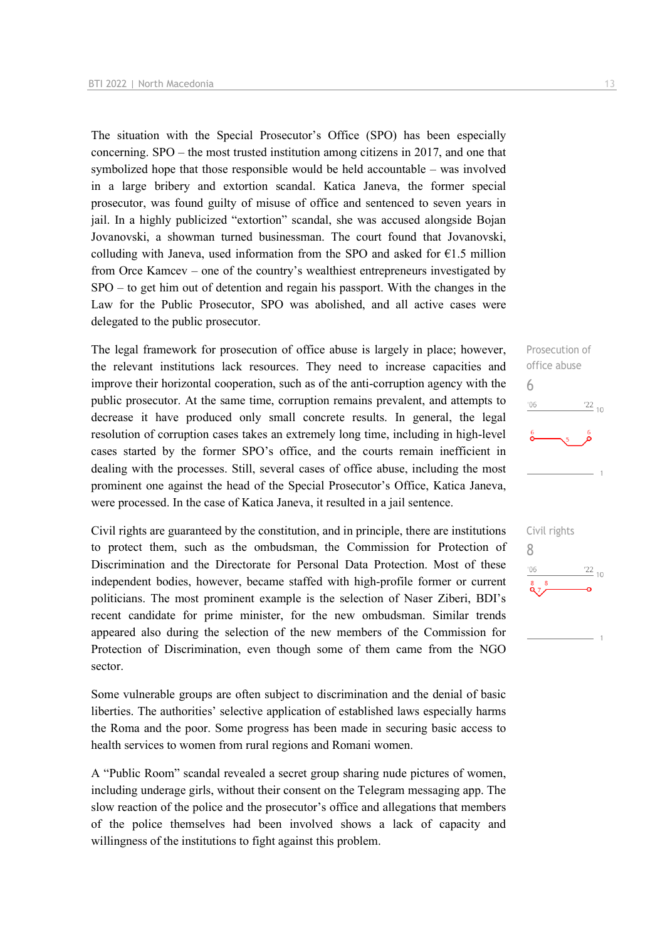The situation with the Special Prosecutor's Office (SPO) has been especially concerning. SPO – the most trusted institution among citizens in 2017, and one that symbolized hope that those responsible would be held accountable – was involved in a large bribery and extortion scandal. Katica Janeva, the former special prosecutor, was found guilty of misuse of office and sentenced to seven years in jail. In a highly publicized "extortion" scandal, she was accused alongside Bojan Jovanovski, a showman turned businessman. The court found that Jovanovski, colluding with Janeva, used information from the SPO and asked for  $E1.5$  million from Orce Kamcev – one of the country's wealthiest entrepreneurs investigated by SPO – to get him out of detention and regain his passport. With the changes in the Law for the Public Prosecutor, SPO was abolished, and all active cases were delegated to the public prosecutor.

The legal framework for prosecution of office abuse is largely in place; however, the relevant institutions lack resources. They need to increase capacities and improve their horizontal cooperation, such as of the anti-corruption agency with the public prosecutor. At the same time, corruption remains prevalent, and attempts to decrease it have produced only small concrete results. In general, the legal resolution of corruption cases takes an extremely long time, including in high-level cases started by the former SPO's office, and the courts remain inefficient in dealing with the processes. Still, several cases of office abuse, including the most prominent one against the head of the Special Prosecutor's Office, Katica Janeva, were processed. In the case of Katica Janeva, it resulted in a jail sentence.

Civil rights are guaranteed by the constitution, and in principle, there are institutions to protect them, such as the ombudsman, the Commission for Protection of Discrimination and the Directorate for Personal Data Protection. Most of these independent bodies, however, became staffed with high-profile former or current politicians. The most prominent example is the selection of Naser Ziberi, BDI's recent candidate for prime minister, for the new ombudsman. Similar trends appeared also during the selection of the new members of the Commission for Protection of Discrimination, even though some of them came from the NGO sector.

Some vulnerable groups are often subject to discrimination and the denial of basic liberties. The authorities' selective application of established laws especially harms the Roma and the poor. Some progress has been made in securing basic access to health services to women from rural regions and Romani women.

A "Public Room" scandal revealed a secret group sharing nude pictures of women, including underage girls, without their consent on the Telegram messaging app. The slow reaction of the police and the prosecutor's office and allegations that members of the police themselves had been involved shows a lack of capacity and willingness of the institutions to fight against this problem.



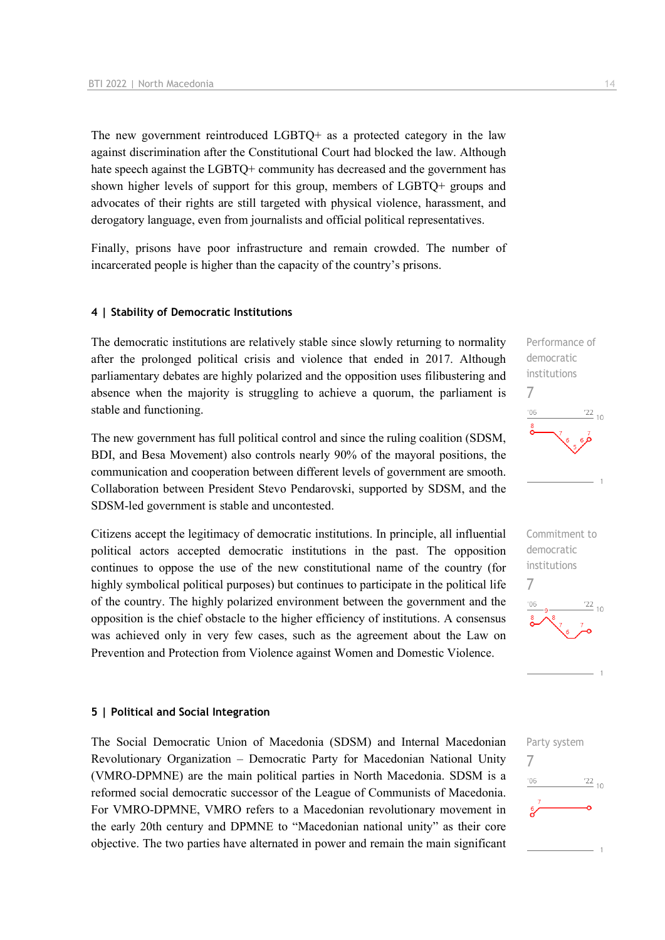The new government reintroduced LGBTQ+ as a protected category in the law against discrimination after the Constitutional Court had blocked the law. Although hate speech against the LGBTQ+ community has decreased and the government has shown higher levels of support for this group, members of LGBTQ+ groups and advocates of their rights are still targeted with physical violence, harassment, and derogatory language, even from journalists and official political representatives.

Finally, prisons have poor infrastructure and remain crowded. The number of incarcerated people is higher than the capacity of the country's prisons.

#### **4 | Stability of Democratic Institutions**

The democratic institutions are relatively stable since slowly returning to normality after the prolonged political crisis and violence that ended in 2017. Although parliamentary debates are highly polarized and the opposition uses filibustering and absence when the majority is struggling to achieve a quorum, the parliament is stable and functioning.

The new government has full political control and since the ruling coalition (SDSM, BDI, and Besa Movement) also controls nearly 90% of the mayoral positions, the communication and cooperation between different levels of government are smooth. Collaboration between President Stevo Pendarovski, supported by SDSM, and the SDSM-led government is stable and uncontested.

Citizens accept the legitimacy of democratic institutions. In principle, all influential political actors accepted democratic institutions in the past. The opposition continues to oppose the use of the new constitutional name of the country (for highly symbolical political purposes) but continues to participate in the political life of the country. The highly polarized environment between the government and the opposition is the chief obstacle to the higher efficiency of institutions. A consensus was achieved only in very few cases, such as the agreement about the Law on Prevention and Protection from Violence against Women and Domestic Violence.

#### **5 | Political and Social Integration**

The Social Democratic Union of Macedonia (SDSM) and Internal Macedonian Revolutionary Organization – Democratic Party for Macedonian National Unity (VMRO-DPMNE) are the main political parties in North Macedonia. SDSM is a reformed social democratic successor of the League of Communists of Macedonia. For VMRO-DPMNE, VMRO refers to a Macedonian revolutionary movement in the early 20th century and DPMNE to "Macedonian national unity" as their core objective. The two parties have alternated in power and remain the main significant





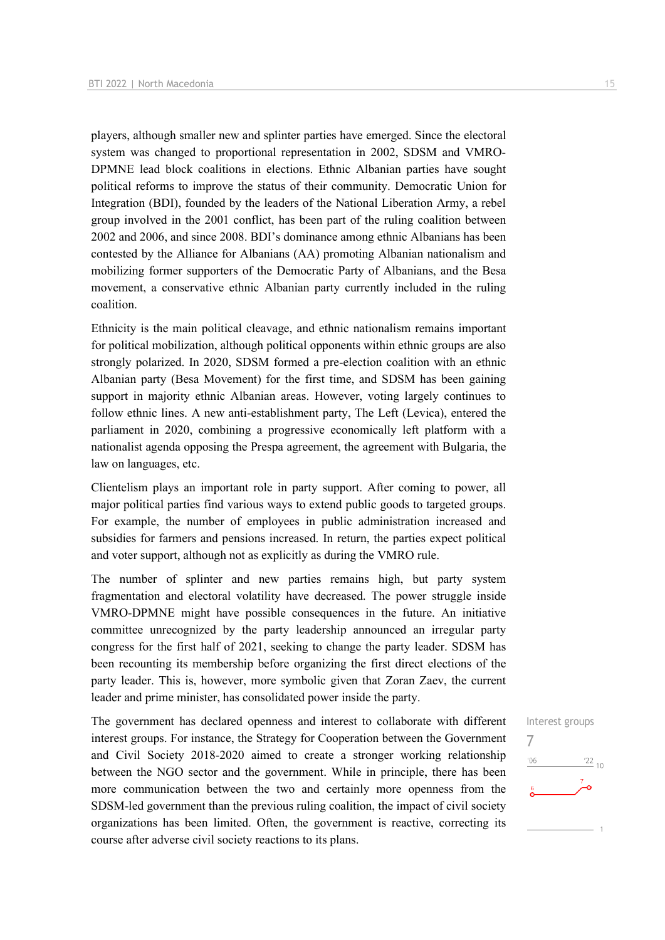players, although smaller new and splinter parties have emerged. Since the electoral system was changed to proportional representation in 2002, SDSM and VMRO-DPMNE lead block coalitions in elections. Ethnic Albanian parties have sought political reforms to improve the status of their community. Democratic Union for Integration (BDI), founded by the leaders of the National Liberation Army, a rebel group involved in the 2001 conflict, has been part of the ruling coalition between 2002 and 2006, and since 2008. BDI's dominance among ethnic Albanians has been contested by the Alliance for Albanians (AA) promoting Albanian nationalism and mobilizing former supporters of the Democratic Party of Albanians, and the Besa movement, a conservative ethnic Albanian party currently included in the ruling coalition.

Ethnicity is the main political cleavage, and ethnic nationalism remains important for political mobilization, although political opponents within ethnic groups are also strongly polarized. In 2020, SDSM formed a pre-election coalition with an ethnic Albanian party (Besa Movement) for the first time, and SDSM has been gaining support in majority ethnic Albanian areas. However, voting largely continues to follow ethnic lines. A new anti-establishment party, The Left (Levica), entered the parliament in 2020, combining a progressive economically left platform with a nationalist agenda opposing the Prespa agreement, the agreement with Bulgaria, the law on languages, etc.

Clientelism plays an important role in party support. After coming to power, all major political parties find various ways to extend public goods to targeted groups. For example, the number of employees in public administration increased and subsidies for farmers and pensions increased. In return, the parties expect political and voter support, although not as explicitly as during the VMRO rule.

The number of splinter and new parties remains high, but party system fragmentation and electoral volatility have decreased. The power struggle inside VMRO-DPMNE might have possible consequences in the future. An initiative committee unrecognized by the party leadership announced an irregular party congress for the first half of 2021, seeking to change the party leader. SDSM has been recounting its membership before organizing the first direct elections of the party leader. This is, however, more symbolic given that Zoran Zaev, the current leader and prime minister, has consolidated power inside the party.

The government has declared openness and interest to collaborate with different interest groups. For instance, the Strategy for Cooperation between the Government and Civil Society 2018-2020 aimed to create a stronger working relationship between the NGO sector and the government. While in principle, there has been more communication between the two and certainly more openness from the SDSM-led government than the previous ruling coalition, the impact of civil society organizations has been limited. Often, the government is reactive, correcting its course after adverse civil society reactions to its plans.

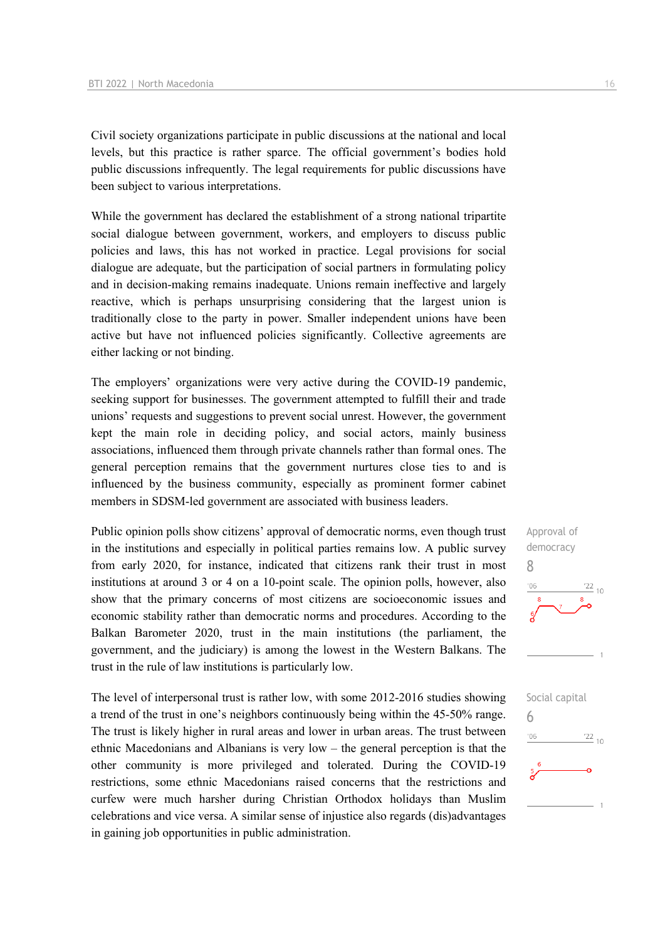Civil society organizations participate in public discussions at the national and local levels, but this practice is rather sparce. The official government's bodies hold public discussions infrequently. The legal requirements for public discussions have been subject to various interpretations.

While the government has declared the establishment of a strong national tripartite social dialogue between government, workers, and employers to discuss public policies and laws, this has not worked in practice. Legal provisions for social dialogue are adequate, but the participation of social partners in formulating policy and in decision-making remains inadequate. Unions remain ineffective and largely reactive, which is perhaps unsurprising considering that the largest union is traditionally close to the party in power. Smaller independent unions have been active but have not influenced policies significantly. Collective agreements are either lacking or not binding.

The employers' organizations were very active during the COVID-19 pandemic, seeking support for businesses. The government attempted to fulfill their and trade unions' requests and suggestions to prevent social unrest. However, the government kept the main role in deciding policy, and social actors, mainly business associations, influenced them through private channels rather than formal ones. The general perception remains that the government nurtures close ties to and is influenced by the business community, especially as prominent former cabinet members in SDSM-led government are associated with business leaders.

Public opinion polls show citizens' approval of democratic norms, even though trust in the institutions and especially in political parties remains low. A public survey from early 2020, for instance, indicated that citizens rank their trust in most institutions at around 3 or 4 on a 10-point scale. The opinion polls, however, also show that the primary concerns of most citizens are socioeconomic issues and economic stability rather than democratic norms and procedures. According to the Balkan Barometer 2020, trust in the main institutions (the parliament, the government, and the judiciary) is among the lowest in the Western Balkans. The trust in the rule of law institutions is particularly low.

The level of interpersonal trust is rather low, with some 2012-2016 studies showing a trend of the trust in one's neighbors continuously being within the 45-50% range. The trust is likely higher in rural areas and lower in urban areas. The trust between ethnic Macedonians and Albanians is very low – the general perception is that the other community is more privileged and tolerated. During the COVID-19 restrictions, some ethnic Macedonians raised concerns that the restrictions and curfew were much harsher during Christian Orthodox holidays than Muslim celebrations and vice versa. A similar sense of injustice also regards (dis)advantages in gaining job opportunities in public administration.



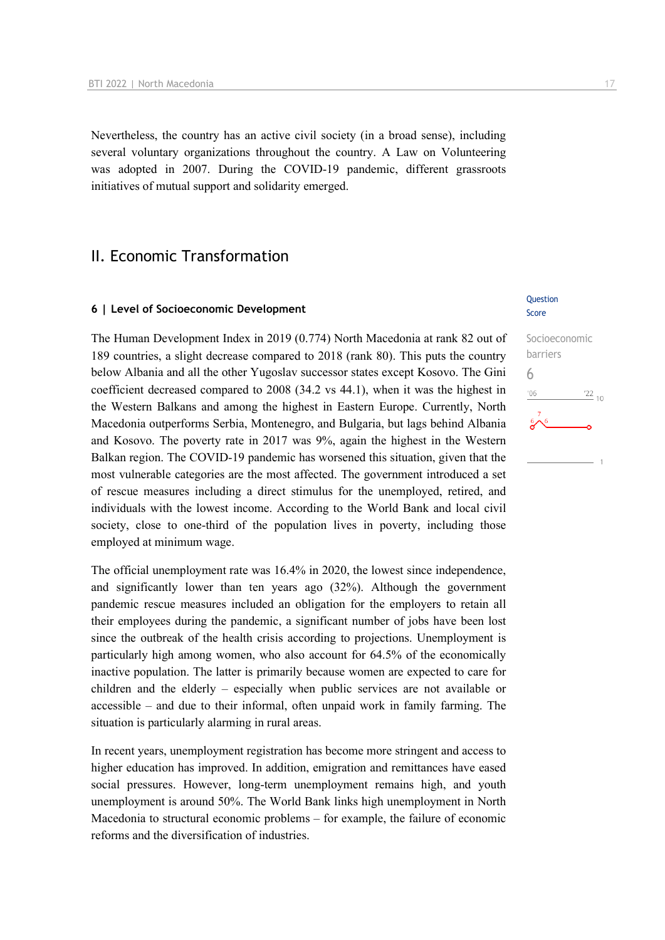Nevertheless, the country has an active civil society (in a broad sense), including several voluntary organizations throughout the country. A Law on Volunteering was adopted in 2007. During the COVID-19 pandemic, different grassroots initiatives of mutual support and solidarity emerged.

# II. Economic Transformation

#### **6 | Level of Socioeconomic Development**

The Human Development Index in 2019 (0.774) North Macedonia at rank 82 out of 189 countries, a slight decrease compared to 2018 (rank 80). This puts the country below Albania and all the other Yugoslav successor states except Kosovo. The Gini coefficient decreased compared to 2008 (34.2 vs 44.1), when it was the highest in the Western Balkans and among the highest in Eastern Europe. Currently, North Macedonia outperforms Serbia, Montenegro, and Bulgaria, but lags behind Albania and Kosovo. The poverty rate in 2017 was 9%, again the highest in the Western Balkan region. The COVID-19 pandemic has worsened this situation, given that the most vulnerable categories are the most affected. The government introduced a set of rescue measures including a direct stimulus for the unemployed, retired, and individuals with the lowest income. According to the World Bank and local civil society, close to one-third of the population lives in poverty, including those employed at minimum wage.

The official unemployment rate was 16.4% in 2020, the lowest since independence, and significantly lower than ten years ago (32%). Although the government pandemic rescue measures included an obligation for the employers to retain all their employees during the pandemic, a significant number of jobs have been lost since the outbreak of the health crisis according to projections. Unemployment is particularly high among women, who also account for 64.5% of the economically inactive population. The latter is primarily because women are expected to care for children and the elderly – especially when public services are not available or accessible – and due to their informal, often unpaid work in family farming. The situation is particularly alarming in rural areas.

In recent years, unemployment registration has become more stringent and access to higher education has improved. In addition, emigration and remittances have eased social pressures. However, long-term unemployment remains high, and youth unemployment is around 50%. The World Bank links high unemployment in North Macedonia to structural economic problems – for example, the failure of economic reforms and the diversification of industries.

#### **Ouestion** Score

# Socioeconomic barriers 6 $n<sub>6</sub>$  $\frac{22}{10}$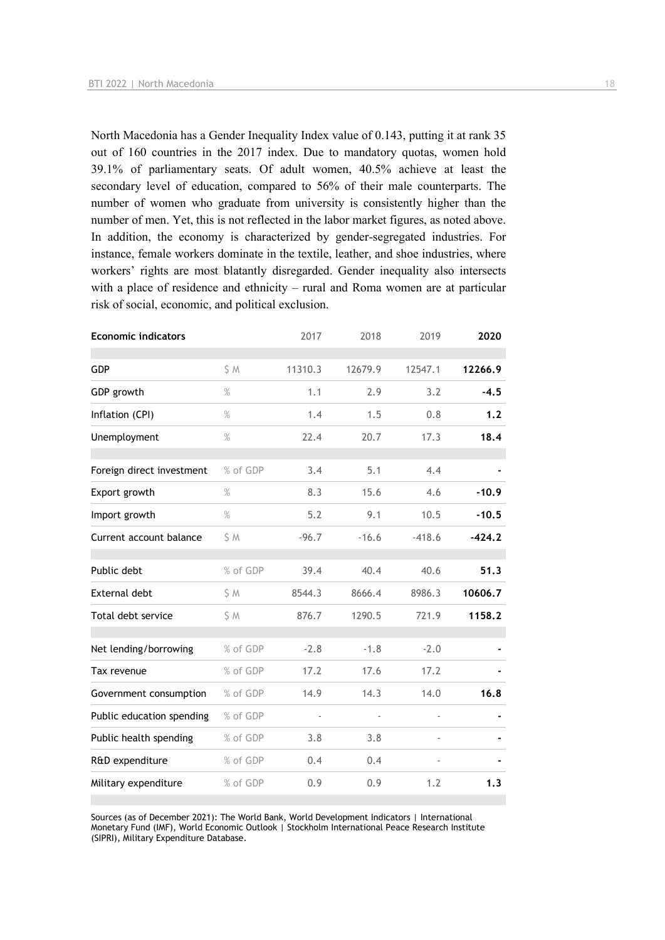North Macedonia has a Gender Inequality Index value of 0.143, putting it at rank 35 out of 160 countries in the 2017 index. Due to mandatory quotas, women hold 39.1% of parliamentary seats. Of adult women, 40.5% achieve at least the secondary level of education, compared to 56% of their male counterparts. The number of women who graduate from university is consistently higher than the number of men. Yet, this is not reflected in the labor market figures, as noted above. In addition, the economy is characterized by gender-segregated industries. For instance, female workers dominate in the textile, leather, and shoe industries, where workers' rights are most blatantly disregarded. Gender inequality also intersects with a place of residence and ethnicity – rural and Roma women are at particular risk of social, economic, and political exclusion.

| <b>Economic indicators</b> |          | 2017                     | 2018           | 2019           | 2020     |
|----------------------------|----------|--------------------------|----------------|----------------|----------|
| <b>GDP</b>                 | \$M      | 11310.3                  | 12679.9        | 12547.1        | 12266.9  |
| GDP growth                 | %        | 1.1                      | 2.9            | 3.2            | $-4.5$   |
| Inflation (CPI)            | $\%$     | 1.4                      | 1.5            | 0.8            | 1.2      |
| Unemployment               | %        | 22.4                     | 20.7           | 17.3           | 18.4     |
| Foreign direct investment  | % of GDP | 3.4                      | 5.1            | 4.4            |          |
| Export growth              | $\%$     | 8.3                      | 15.6           | 4.6            | $-10.9$  |
| Import growth              | $\%$     | 5.2                      | 9.1            | 10.5           | $-10.5$  |
| Current account balance    | \$ M     | $-96.7$                  | $-16.6$        | $-418.6$       | $-424.2$ |
| Public debt                | % of GDP | 39.4                     | 40.4           | 40.6           | 51.3     |
| External debt              | \$ M     | 8544.3                   | 8666.4         | 8986.3         | 10606.7  |
| Total debt service         | \$ M     | 876.7                    | 1290.5         | 721.9          | 1158.2   |
| Net lending/borrowing      | % of GDP | $-2.8$                   | $-1.8$         | $-2.0$         |          |
| Tax revenue                | % of GDP | 17.2                     | 17.6           | 17.2           |          |
| Government consumption     | % of GDP | 14.9                     | 14.3           | 14.0           | 16.8     |
| Public education spending  | % of GDP | $\overline{\phantom{a}}$ | $\blacksquare$ | $\blacksquare$ |          |
| Public health spending     | % of GDP | 3.8                      | 3.8            |                |          |
| R&D expenditure            | % of GDP | 0.4                      | 0.4            |                |          |
| Military expenditure       | % of GDP | 0.9                      | 0.9            | 1.2            | 1.3      |

Sources (as of December 2021): The World Bank, World Development Indicators | International Monetary Fund (IMF), World Economic Outlook | Stockholm International Peace Research Institute (SIPRI), Military Expenditure Database.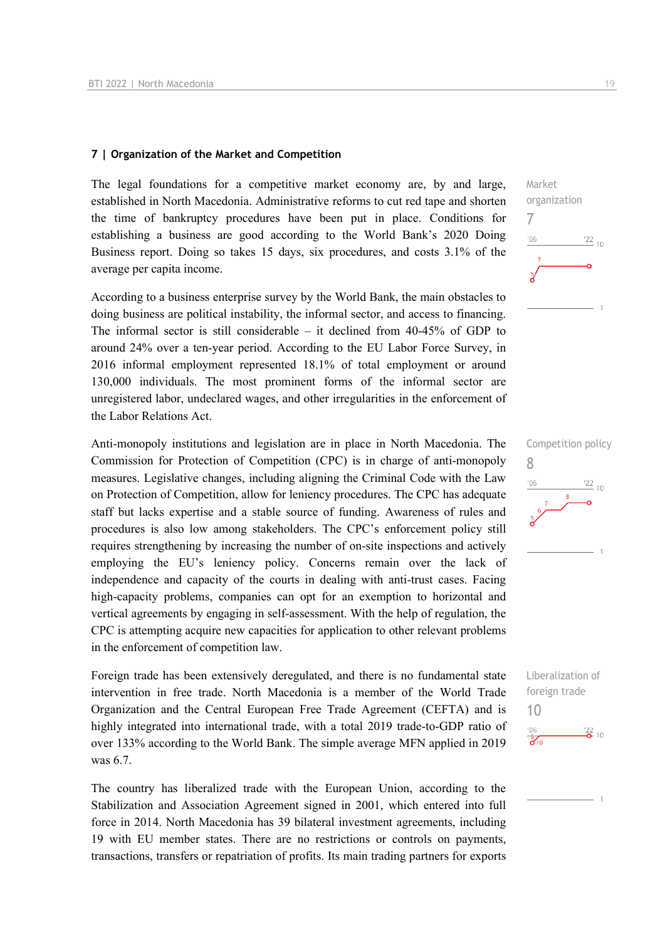#### **7 | Organization of the Market and Competition**

The legal foundations for a competitive market economy are, by and large, established in North Macedonia. Administrative reforms to cut red tape and shorten the time of bankruptcy procedures have been put in place. Conditions for establishing a business are good according to the World Bank's 2020 Doing Business report. Doing so takes 15 days, six procedures, and costs 3.1% of the average per capita income.

According to a business enterprise survey by the World Bank, the main obstacles to doing business are political instability, the informal sector, and access to financing. The informal sector is still considerable – it declined from 40-45% of GDP to around 24% over a ten-year period. According to the EU Labor Force Survey, in 2016 informal employment represented 18.1% of total employment or around 130,000 individuals. The most prominent forms of the informal sector are unregistered labor, undeclared wages, and other irregularities in the enforcement of the Labor Relations Act.

Anti-monopoly institutions and legislation are in place in North Macedonia. The Commission for Protection of Competition (CPC) is in charge of anti-monopoly measures. Legislative changes, including aligning the Criminal Code with the Law on Protection of Competition, allow for leniency procedures. The CPC has adequate staff but lacks expertise and a stable source of funding. Awareness of rules and procedures is also low among stakeholders. The CPC's enforcement policy still requires strengthening by increasing the number of on-site inspections and actively employing the EU's leniency policy. Concerns remain over the lack of independence and capacity of the courts in dealing with anti-trust cases. Facing high-capacity problems, companies can opt for an exemption to horizontal and vertical agreements by engaging in self-assessment. With the help of regulation, the CPC is attempting acquire new capacities for application to other relevant problems in the enforcement of competition law.

Foreign trade has been extensively deregulated, and there is no fundamental state intervention in free trade. North Macedonia is a member of the World Trade Organization and the Central European Free Trade Agreement (CEFTA) and is highly integrated into international trade, with a total 2019 trade-to-GDP ratio of over 133% according to the World Bank. The simple average MFN applied in 2019 was 6.7.

The country has liberalized trade with the European Union, according to the Stabilization and Association Agreement signed in 2001, which entered into full force in 2014. North Macedonia has 39 bilateral investment agreements, including 19 with EU member states. There are no restrictions or controls on payments, transactions, transfers or repatriation of profits. Its main trading partners for exports





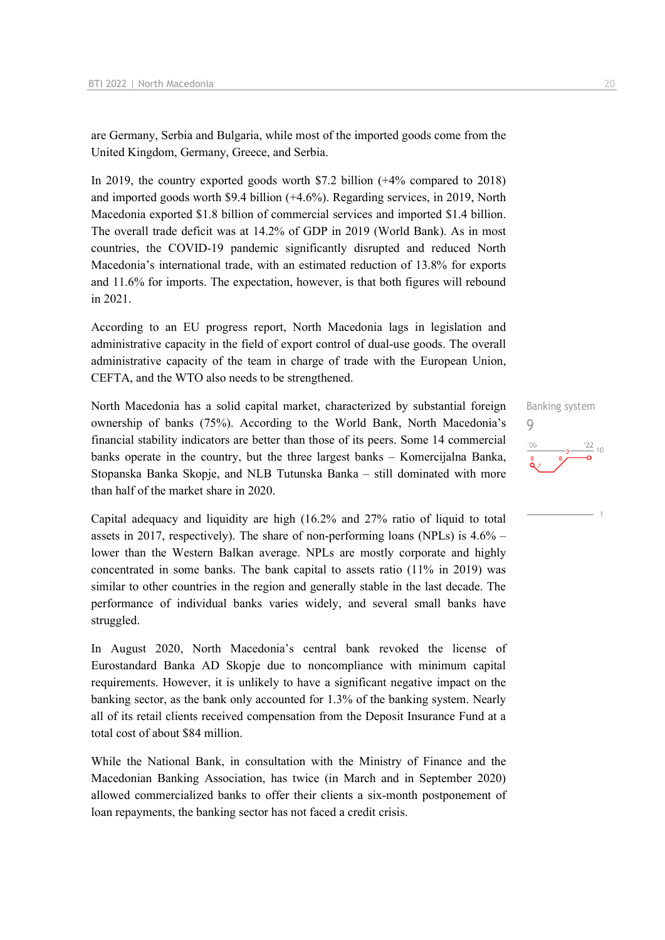are Germany, Serbia and Bulgaria, while most of the imported goods come from the United Kingdom, Germany, Greece, and Serbia.

In 2019, the country exported goods worth \$7.2 billion (+4% compared to 2018) and imported goods worth \$9.4 billion (+4.6%). Regarding services, in 2019, North Macedonia exported \$1.8 billion of commercial services and imported \$1.4 billion. The overall trade deficit was at 14.2% of GDP in 2019 (World Bank). As in most countries, the COVID-19 pandemic significantly disrupted and reduced North Macedonia's international trade, with an estimated reduction of 13.8% for exports and 11.6% for imports. The expectation, however, is that both figures will rebound in 2021.

According to an EU progress report, North Macedonia lags in legislation and administrative capacity in the field of export control of dual-use goods. The overall administrative capacity of the team in charge of trade with the European Union, CEFTA, and the WTO also needs to be strengthened.

North Macedonia has a solid capital market, characterized by substantial foreign ownership of banks (75%). According to the World Bank, North Macedonia's financial stability indicators are better than those of its peers. Some 14 commercial banks operate in the country, but the three largest banks – Komercijalna Banka, Stopanska Banka Skopje, and NLB Tutunska Banka – still dominated with more than half of the market share in 2020.

Capital adequacy and liquidity are high (16.2% and 27% ratio of liquid to total assets in 2017, respectively). The share of non-performing loans (NPLs) is 4.6% – lower than the Western Balkan average. NPLs are mostly corporate and highly concentrated in some banks. The bank capital to assets ratio (11% in 2019) was similar to other countries in the region and generally stable in the last decade. The performance of individual banks varies widely, and several small banks have struggled.

In August 2020, North Macedonia's central bank revoked the license of Eurostandard Banka AD Skopje due to noncompliance with minimum capital requirements. However, it is unlikely to have a significant negative impact on the banking sector, as the bank only accounted for 1.3% of the banking system. Nearly all of its retail clients received compensation from the Deposit Insurance Fund at a total cost of about \$84 million.

While the National Bank, in consultation with the Ministry of Finance and the Macedonian Banking Association, has twice (in March and in September 2020) allowed commercialized banks to offer their clients a six-month postponement of loan repayments, the banking sector has not faced a credit crisis.

Banking system

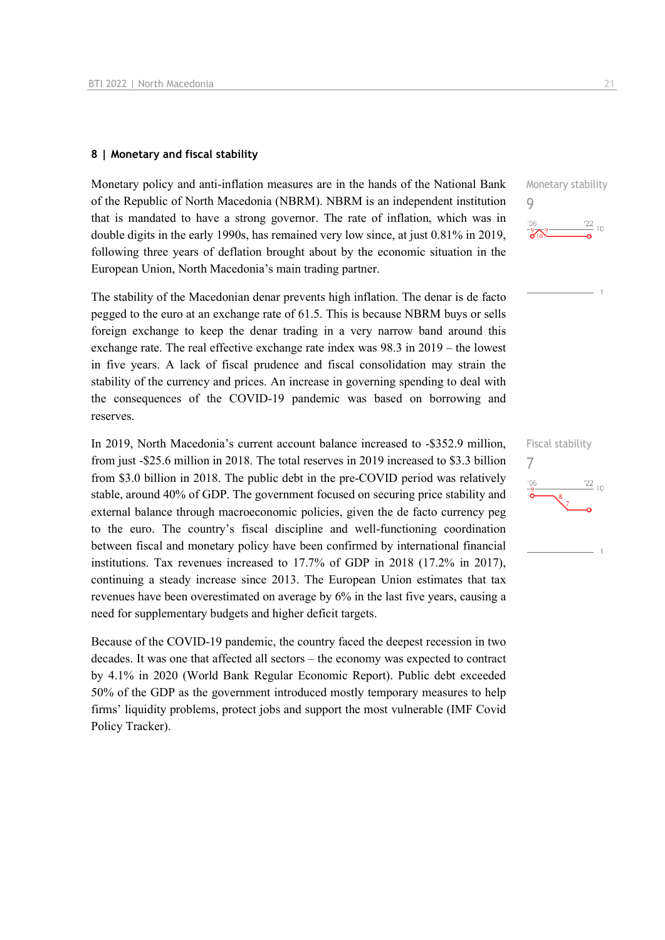#### **8 | Monetary and fiscal stability**

Monetary policy and anti-inflation measures are in the hands of the National Bank of the Republic of North Macedonia (NBRM). NBRM is an independent institution that is mandated to have a strong governor. The rate of inflation, which was in double digits in the early 1990s, has remained very low since, at just 0.81% in 2019, following three years of deflation brought about by the economic situation in the European Union, North Macedonia's main trading partner.

The stability of the Macedonian denar prevents high inflation. The denar is de facto pegged to the euro at an exchange rate of 61.5. This is because NBRM buys or sells foreign exchange to keep the denar trading in a very narrow band around this exchange rate. The real effective exchange rate index was 98.3 in 2019 – the lowest in five years. A lack of fiscal prudence and fiscal consolidation may strain the stability of the currency and prices. An increase in governing spending to deal with the consequences of the COVID-19 pandemic was based on borrowing and reserves.

In 2019, North Macedonia's current account balance increased to -\$352.9 million, from just -\$25.6 million in 2018. The total reserves in 2019 increased to \$3.3 billion from \$3.0 billion in 2018. The public debt in the pre-COVID period was relatively stable, around 40% of GDP. The government focused on securing price stability and external balance through macroeconomic policies, given the de facto currency peg to the euro. The country's fiscal discipline and well-functioning coordination between fiscal and monetary policy have been confirmed by international financial institutions. Tax revenues increased to 17.7% of GDP in 2018 (17.2% in 2017), continuing a steady increase since 2013. The European Union estimates that tax revenues have been overestimated on average by 6% in the last five years, causing a need for supplementary budgets and higher deficit targets.

Because of the COVID-19 pandemic, the country faced the deepest recession in two decades. It was one that affected all sectors – the economy was expected to contract by 4.1% in 2020 (World Bank Regular Economic Report). Public debt exceeded 50% of the GDP as the government introduced mostly temporary measures to help firms' liquidity problems, protect jobs and support the most vulnerable (IMF Covid Policy Tracker).



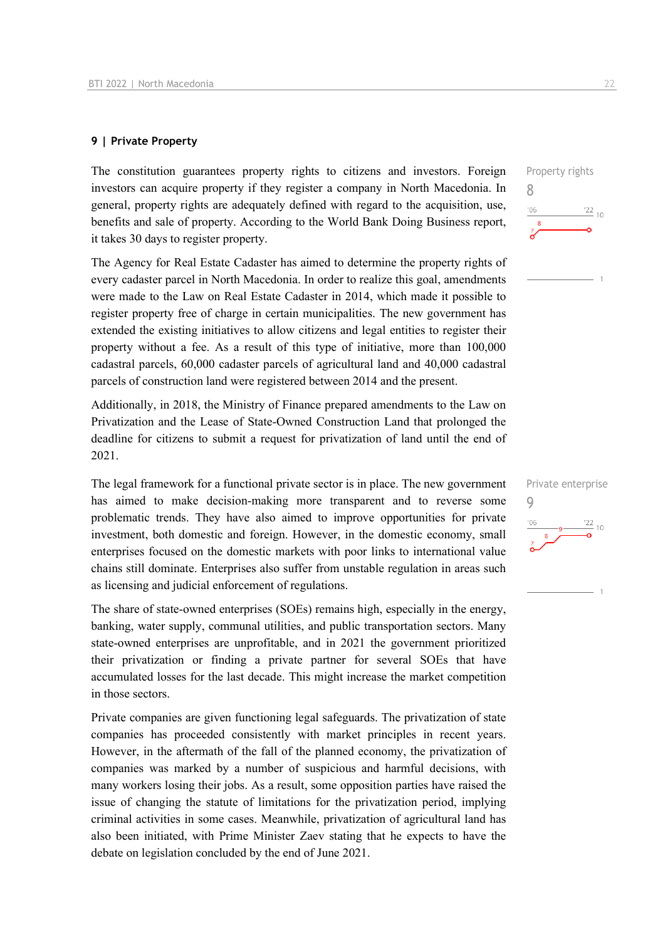#### **9 | Private Property**

The constitution guarantees property rights to citizens and investors. Foreign investors can acquire property if they register a company in North Macedonia. In general, property rights are adequately defined with regard to the acquisition, use, benefits and sale of property. According to the World Bank Doing Business report, it takes 30 days to register property.

The Agency for Real Estate Cadaster has aimed to determine the property rights of every cadaster parcel in North Macedonia. In order to realize this goal, amendments were made to the Law on Real Estate Cadaster in 2014, which made it possible to register property free of charge in certain municipalities. The new government has extended the existing initiatives to allow citizens and legal entities to register their property without a fee. As a result of this type of initiative, more than 100,000 cadastral parcels, 60,000 cadaster parcels of agricultural land and 40,000 cadastral parcels of construction land were registered between 2014 and the present.

Additionally, in 2018, the Ministry of Finance prepared amendments to the Law on Privatization and the Lease of State-Owned Construction Land that prolonged the deadline for citizens to submit a request for privatization of land until the end of 2021.

The legal framework for a functional private sector is in place. The new government has aimed to make decision-making more transparent and to reverse some problematic trends. They have also aimed to improve opportunities for private investment, both domestic and foreign. However, in the domestic economy, small enterprises focused on the domestic markets with poor links to international value chains still dominate. Enterprises also suffer from unstable regulation in areas such as licensing and judicial enforcement of regulations.

The share of state-owned enterprises (SOEs) remains high, especially in the energy, banking, water supply, communal utilities, and public transportation sectors. Many state-owned enterprises are unprofitable, and in 2021 the government prioritized their privatization or finding a private partner for several SOEs that have accumulated losses for the last decade. This might increase the market competition in those sectors.

Private companies are given functioning legal safeguards. The privatization of state companies has proceeded consistently with market principles in recent years. However, in the aftermath of the fall of the planned economy, the privatization of companies was marked by a number of suspicious and harmful decisions, with many workers losing their jobs. As a result, some opposition parties have raised the issue of changing the statute of limitations for the privatization period, implying criminal activities in some cases. Meanwhile, privatization of agricultural land has also been initiated, with Prime Minister Zaev stating that he expects to have the debate on legislation concluded by the end of June 2021.



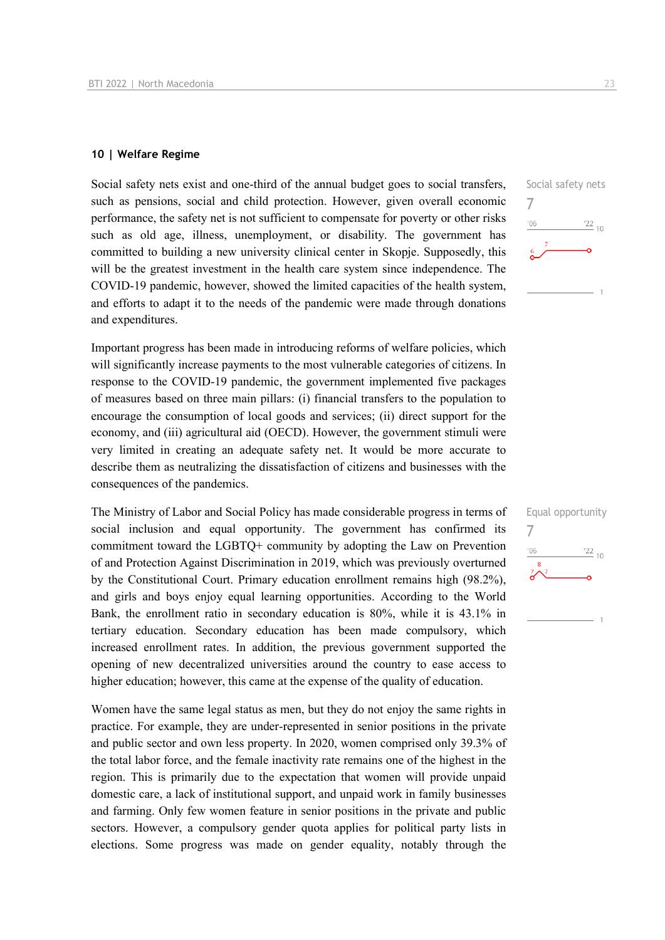#### **10 | Welfare Regime**

Social safety nets exist and one-third of the annual budget goes to social transfers, such as pensions, social and child protection. However, given overall economic performance, the safety net is not sufficient to compensate for poverty or other risks such as old age, illness, unemployment, or disability. The government has committed to building a new university clinical center in Skopje. Supposedly, this will be the greatest investment in the health care system since independence. The COVID-19 pandemic, however, showed the limited capacities of the health system, and efforts to adapt it to the needs of the pandemic were made through donations and expenditures.

Important progress has been made in introducing reforms of welfare policies, which will significantly increase payments to the most vulnerable categories of citizens. In response to the COVID-19 pandemic, the government implemented five packages of measures based on three main pillars: (i) financial transfers to the population to encourage the consumption of local goods and services; (ii) direct support for the economy, and (iii) agricultural aid (OECD). However, the government stimuli were very limited in creating an adequate safety net. It would be more accurate to describe them as neutralizing the dissatisfaction of citizens and businesses with the consequences of the pandemics.

The Ministry of Labor and Social Policy has made considerable progress in terms of social inclusion and equal opportunity. The government has confirmed its commitment toward the LGBTQ+ community by adopting the Law on Prevention of and Protection Against Discrimination in 2019, which was previously overturned by the Constitutional Court. Primary education enrollment remains high (98.2%), and girls and boys enjoy equal learning opportunities. According to the World Bank, the enrollment ratio in secondary education is 80%, while it is 43.1% in tertiary education. Secondary education has been made compulsory, which increased enrollment rates. In addition, the previous government supported the opening of new decentralized universities around the country to ease access to higher education; however, this came at the expense of the quality of education.

Women have the same legal status as men, but they do not enjoy the same rights in practice. For example, they are under-represented in senior positions in the private and public sector and own less property. In 2020, women comprised only 39.3% of the total labor force, and the female inactivity rate remains one of the highest in the region. This is primarily due to the expectation that women will provide unpaid domestic care, a lack of institutional support, and unpaid work in family businesses and farming. Only few women feature in senior positions in the private and public sectors. However, a compulsory gender quota applies for political party lists in elections. Some progress was made on gender equality, notably through the

7

 $106$ 

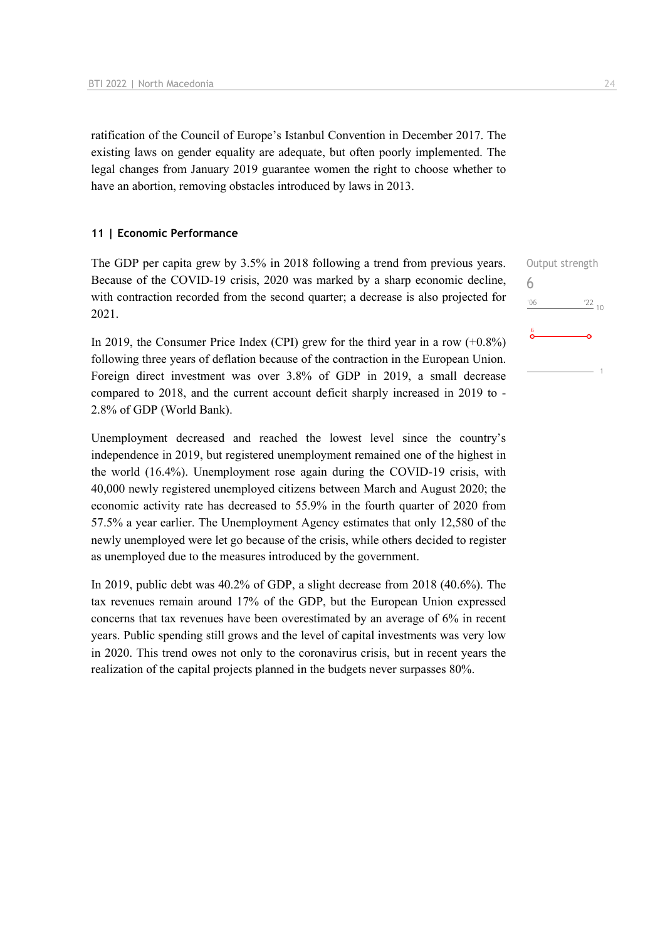ratification of the Council of Europe's Istanbul Convention in December 2017. The existing laws on gender equality are adequate, but often poorly implemented. The legal changes from January 2019 guarantee women the right to choose whether to have an abortion, removing obstacles introduced by laws in 2013.

#### **11 | Economic Performance**

The GDP per capita grew by 3.5% in 2018 following a trend from previous years. Because of the COVID-19 crisis, 2020 was marked by a sharp economic decline, with contraction recorded from the second quarter; a decrease is also projected for 2021.

In 2019, the Consumer Price Index (CPI) grew for the third year in a row  $(+0.8\%)$ following three years of deflation because of the contraction in the European Union. Foreign direct investment was over 3.8% of GDP in 2019, a small decrease compared to 2018, and the current account deficit sharply increased in 2019 to - 2.8% of GDP (World Bank).

Unemployment decreased and reached the lowest level since the country's independence in 2019, but registered unemployment remained one of the highest in the world (16.4%). Unemployment rose again during the COVID-19 crisis, with 40,000 newly registered unemployed citizens between March and August 2020; the economic activity rate has decreased to 55.9% in the fourth quarter of 2020 from 57.5% a year earlier. The Unemployment Agency estimates that only 12,580 of the newly unemployed were let go because of the crisis, while others decided to register as unemployed due to the measures introduced by the government.

In 2019, public debt was 40.2% of GDP, a slight decrease from 2018 (40.6%). The tax revenues remain around 17% of the GDP, but the European Union expressed concerns that tax revenues have been overestimated by an average of 6% in recent years. Public spending still grows and the level of capital investments was very low in 2020. This trend owes not only to the coronavirus crisis, but in recent years the realization of the capital projects planned in the budgets never surpasses 80%.

Output strength 6 $'06$  $\frac{22}{10}$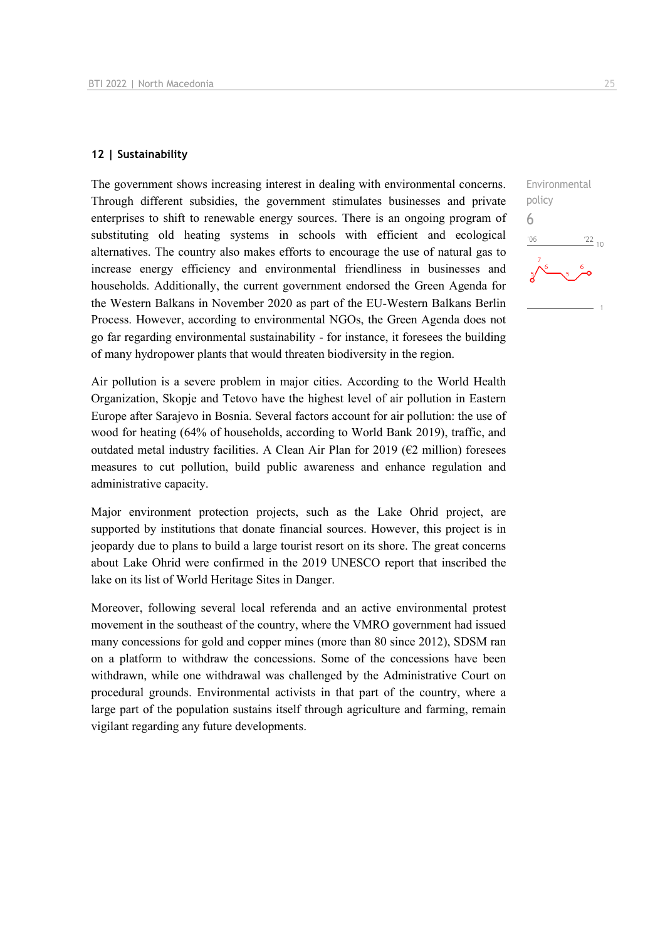#### **12 | Sustainability**

The government shows increasing interest in dealing with environmental concerns. Through different subsidies, the government stimulates businesses and private enterprises to shift to renewable energy sources. There is an ongoing program of substituting old heating systems in schools with efficient and ecological alternatives. The country also makes efforts to encourage the use of natural gas to increase energy efficiency and environmental friendliness in businesses and households. Additionally, the current government endorsed the Green Agenda for the Western Balkans in November 2020 as part of the EU-Western Balkans Berlin Process. However, according to environmental NGOs, the Green Agenda does not go far regarding environmental sustainability - for instance, it foresees the building of many hydropower plants that would threaten biodiversity in the region.

Air pollution is a severe problem in major cities. According to the World Health Organization, Skopje and Tetovo have the highest level of air pollution in Eastern Europe after Sarajevo in Bosnia. Several factors account for air pollution: the use of wood for heating (64% of households, according to World Bank 2019), traffic, and outdated metal industry facilities. A Clean Air Plan for 2019 ( $E2$  million) foresees measures to cut pollution, build public awareness and enhance regulation and administrative capacity.

Major environment protection projects, such as the Lake Ohrid project, are supported by institutions that donate financial sources. However, this project is in jeopardy due to plans to build a large tourist resort on its shore. The great concerns about Lake Ohrid were confirmed in the 2019 UNESCO report that inscribed the lake on its list of World Heritage Sites in Danger.

Moreover, following several local referenda and an active environmental protest movement in the southeast of the country, where the VMRO government had issued many concessions for gold and copper mines (more than 80 since 2012), SDSM ran on a platform to withdraw the concessions. Some of the concessions have been withdrawn, while one withdrawal was challenged by the Administrative Court on procedural grounds. Environmental activists in that part of the country, where a large part of the population sustains itself through agriculture and farming, remain vigilant regarding any future developments.

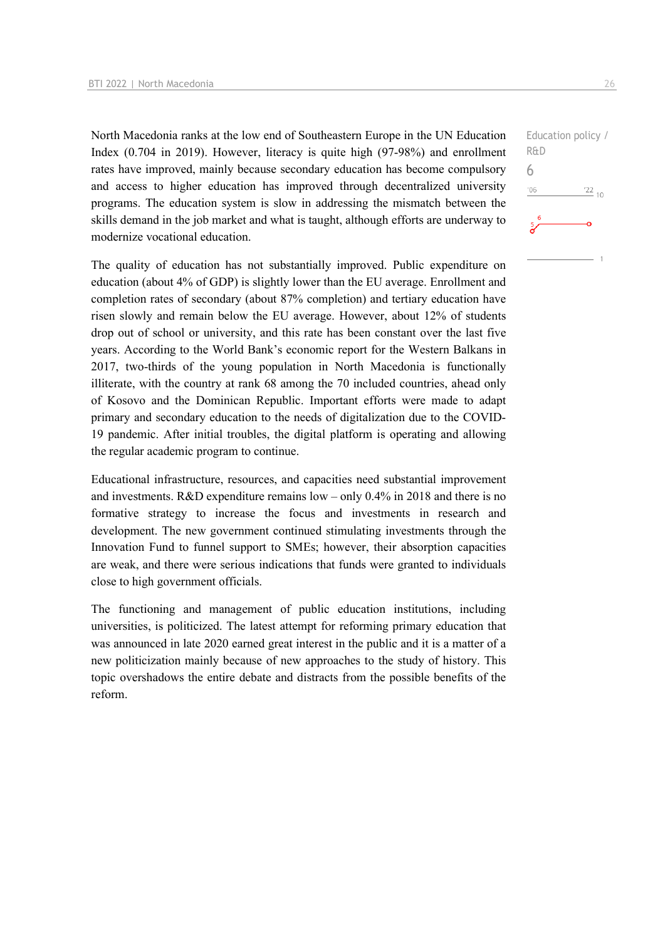North Macedonia ranks at the low end of Southeastern Europe in the UN Education Index (0.704 in 2019). However, literacy is quite high (97-98%) and enrollment rates have improved, mainly because secondary education has become compulsory and access to higher education has improved through decentralized university programs. The education system is slow in addressing the mismatch between the skills demand in the job market and what is taught, although efforts are underway to modernize vocational education.

The quality of education has not substantially improved. Public expenditure on education (about 4% of GDP) is slightly lower than the EU average. Enrollment and completion rates of secondary (about 87% completion) and tertiary education have risen slowly and remain below the EU average. However, about 12% of students drop out of school or university, and this rate has been constant over the last five years. According to the World Bank's economic report for the Western Balkans in 2017, two-thirds of the young population in North Macedonia is functionally illiterate, with the country at rank 68 among the 70 included countries, ahead only of Kosovo and the Dominican Republic. Important efforts were made to adapt primary and secondary education to the needs of digitalization due to the COVID-19 pandemic. After initial troubles, the digital platform is operating and allowing the regular academic program to continue.

Educational infrastructure, resources, and capacities need substantial improvement and investments. R&D expenditure remains low – only 0.4% in 2018 and there is no formative strategy to increase the focus and investments in research and development. The new government continued stimulating investments through the Innovation Fund to funnel support to SMEs; however, their absorption capacities are weak, and there were serious indications that funds were granted to individuals close to high government officials.

The functioning and management of public education institutions, including universities, is politicized. The latest attempt for reforming primary education that was announced in late 2020 earned great interest in the public and it is a matter of a new politicization mainly because of new approaches to the study of history. This topic overshadows the entire debate and distracts from the possible benefits of the reform.

Education policy / R&D 6 $-06$  $122_{10}$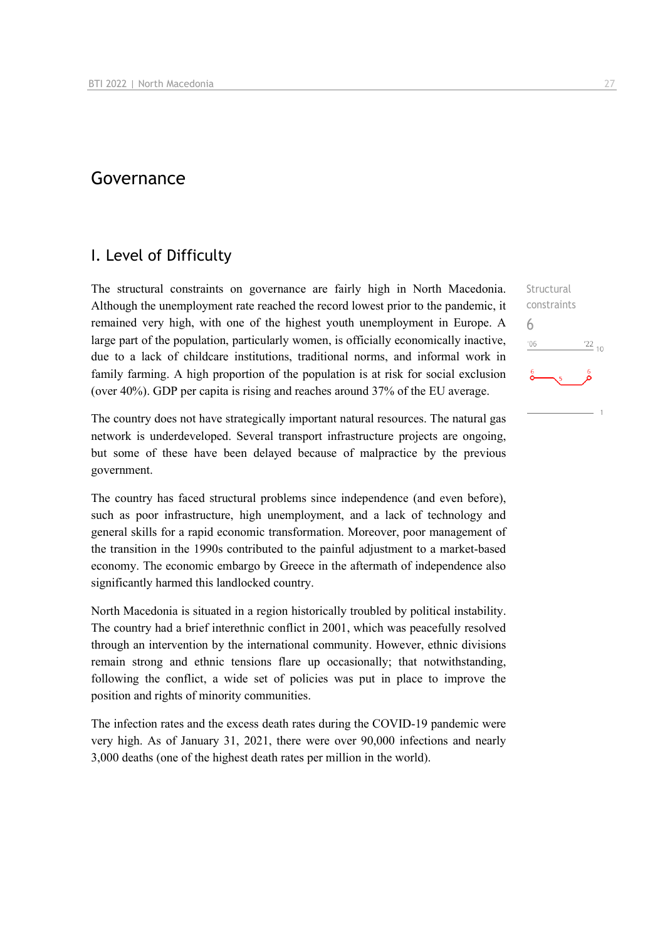# Governance

### I. Level of Difficulty

The structural constraints on governance are fairly high in North Macedonia. Although the unemployment rate reached the record lowest prior to the pandemic, it remained very high, with one of the highest youth unemployment in Europe. A large part of the population, particularly women, is officially economically inactive, due to a lack of childcare institutions, traditional norms, and informal work in family farming. A high proportion of the population is at risk for social exclusion (over 40%). GDP per capita is rising and reaches around 37% of the EU average.

The country does not have strategically important natural resources. The natural gas network is underdeveloped. Several transport infrastructure projects are ongoing, but some of these have been delayed because of malpractice by the previous government.

The country has faced structural problems since independence (and even before), such as poor infrastructure, high unemployment, and a lack of technology and general skills for a rapid economic transformation. Moreover, poor management of the transition in the 1990s contributed to the painful adjustment to a market-based economy. The economic embargo by Greece in the aftermath of independence also significantly harmed this landlocked country.

North Macedonia is situated in a region historically troubled by political instability. The country had a brief interethnic conflict in 2001, which was peacefully resolved through an intervention by the international community. However, ethnic divisions remain strong and ethnic tensions flare up occasionally; that notwithstanding, following the conflict, a wide set of policies was put in place to improve the position and rights of minority communities.

The infection rates and the excess death rates during the COVID-19 pandemic were very high. As of January 31, 2021, there were over 90,000 infections and nearly 3,000 deaths (one of the highest death rates per million in the world).

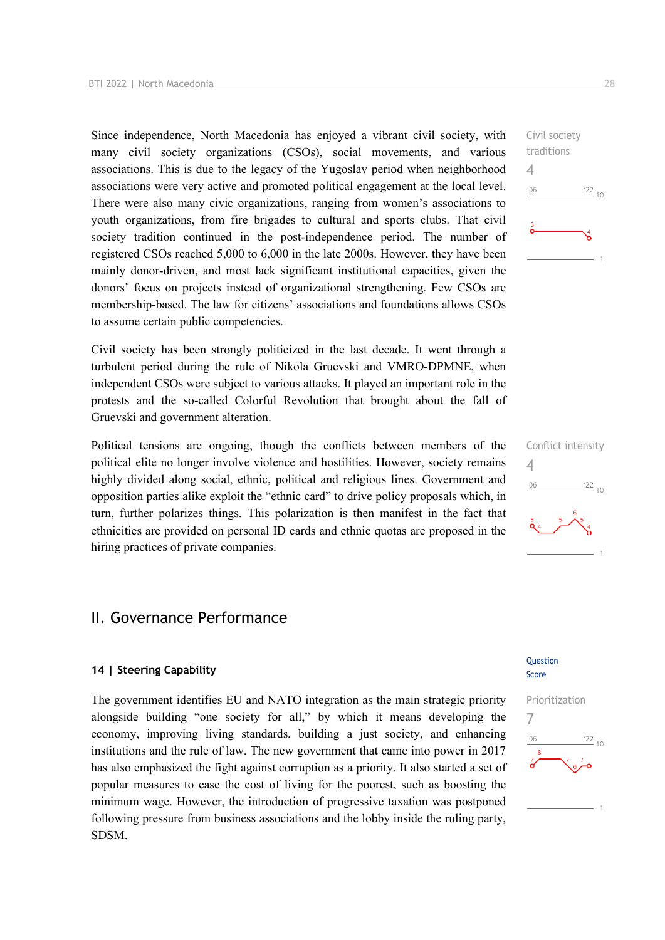Since independence, North Macedonia has enjoyed a vibrant civil society, with many civil society organizations (CSOs), social movements, and various associations. This is due to the legacy of the Yugoslav period when neighborhood associations were very active and promoted political engagement at the local level. There were also many civic organizations, ranging from women's associations to youth organizations, from fire brigades to cultural and sports clubs. That civil society tradition continued in the post-independence period. The number of registered CSOs reached 5,000 to 6,000 in the late 2000s. However, they have been mainly donor-driven, and most lack significant institutional capacities, given the donors' focus on projects instead of organizational strengthening. Few CSOs are membership-based. The law for citizens' associations and foundations allows CSOs to assume certain public competencies.

Civil society has been strongly politicized in the last decade. It went through a turbulent period during the rule of Nikola Gruevski and VMRO-DPMNE, when independent CSOs were subject to various attacks. It played an important role in the protests and the so-called Colorful Revolution that brought about the fall of Gruevski and government alteration.

Political tensions are ongoing, though the conflicts between members of the political elite no longer involve violence and hostilities. However, society remains highly divided along social, ethnic, political and religious lines. Government and opposition parties alike exploit the "ethnic card" to drive policy proposals which, in turn, further polarizes things. This polarization is then manifest in the fact that ethnicities are provided on personal ID cards and ethnic quotas are proposed in the hiring practices of private companies.

# II. Governance Performance

#### **14 | Steering Capability**

The government identifies EU and NATO integration as the main strategic priority alongside building "one society for all," by which it means developing the economy, improving living standards, building a just society, and enhancing institutions and the rule of law. The new government that came into power in 2017 has also emphasized the fight against corruption as a priority. It also started a set of popular measures to ease the cost of living for the poorest, such as boosting the minimum wage. However, the introduction of progressive taxation was postponed following pressure from business associations and the lobby inside the ruling party, SDSM.

#### Question Score





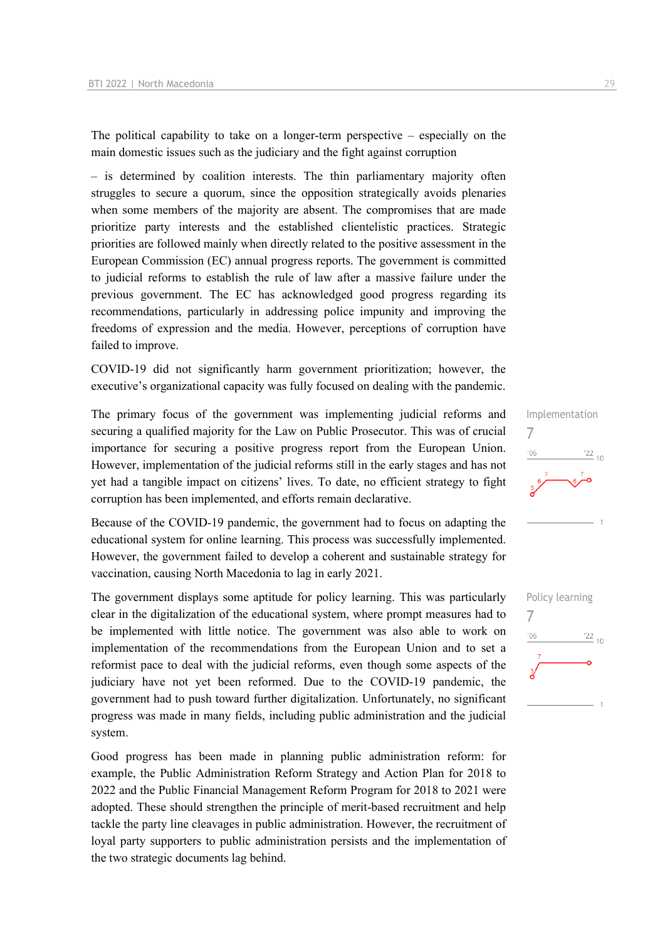The political capability to take on a longer-term perspective – especially on the main domestic issues such as the judiciary and the fight against corruption

– is determined by coalition interests. The thin parliamentary majority often struggles to secure a quorum, since the opposition strategically avoids plenaries when some members of the majority are absent. The compromises that are made prioritize party interests and the established clientelistic practices. Strategic priorities are followed mainly when directly related to the positive assessment in the European Commission (EC) annual progress reports. The government is committed to judicial reforms to establish the rule of law after a massive failure under the previous government. The EC has acknowledged good progress regarding its recommendations, particularly in addressing police impunity and improving the freedoms of expression and the media. However, perceptions of corruption have failed to improve.

COVID-19 did not significantly harm government prioritization; however, the executive's organizational capacity was fully focused on dealing with the pandemic.

The primary focus of the government was implementing judicial reforms and securing a qualified majority for the Law on Public Prosecutor. This was of crucial importance for securing a positive progress report from the European Union. However, implementation of the judicial reforms still in the early stages and has not yet had a tangible impact on citizens' lives. To date, no efficient strategy to fight corruption has been implemented, and efforts remain declarative.

Because of the COVID-19 pandemic, the government had to focus on adapting the educational system for online learning. This process was successfully implemented. However, the government failed to develop a coherent and sustainable strategy for vaccination, causing North Macedonia to lag in early 2021.

The government displays some aptitude for policy learning. This was particularly clear in the digitalization of the educational system, where prompt measures had to be implemented with little notice. The government was also able to work on implementation of the recommendations from the European Union and to set a reformist pace to deal with the judicial reforms, even though some aspects of the judiciary have not yet been reformed. Due to the COVID-19 pandemic, the government had to push toward further digitalization. Unfortunately, no significant progress was made in many fields, including public administration and the judicial system.

Good progress has been made in planning public administration reform: for example, the Public Administration Reform Strategy and Action Plan for 2018 to 2022 and the Public Financial Management Reform Program for 2018 to 2021 were adopted. These should strengthen the principle of merit-based recruitment and help tackle the party line cleavages in public administration. However, the recruitment of loyal party supporters to public administration persists and the implementation of the two strategic documents lag behind.



Implementation

7

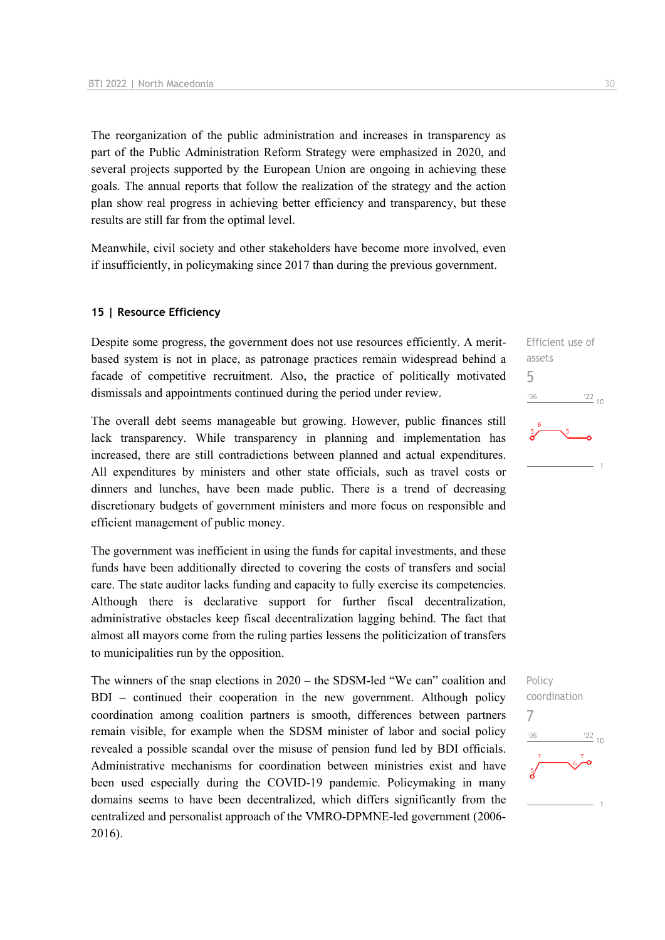The reorganization of the public administration and increases in transparency as part of the Public Administration Reform Strategy were emphasized in 2020, and several projects supported by the European Union are ongoing in achieving these goals. The annual reports that follow the realization of the strategy and the action plan show real progress in achieving better efficiency and transparency, but these results are still far from the optimal level.

Meanwhile, civil society and other stakeholders have become more involved, even if insufficiently, in policymaking since 2017 than during the previous government.

#### **15 | Resource Efficiency**

Despite some progress, the government does not use resources efficiently. A meritbased system is not in place, as patronage practices remain widespread behind a facade of competitive recruitment. Also, the practice of politically motivated dismissals and appointments continued during the period under review.

The overall debt seems manageable but growing. However, public finances still lack transparency. While transparency in planning and implementation has increased, there are still contradictions between planned and actual expenditures. All expenditures by ministers and other state officials, such as travel costs or dinners and lunches, have been made public. There is a trend of decreasing discretionary budgets of government ministers and more focus on responsible and efficient management of public money.

The government was inefficient in using the funds for capital investments, and these funds have been additionally directed to covering the costs of transfers and social care. The state auditor lacks funding and capacity to fully exercise its competencies. Although there is declarative support for further fiscal decentralization, administrative obstacles keep fiscal decentralization lagging behind. The fact that almost all mayors come from the ruling parties lessens the politicization of transfers to municipalities run by the opposition.

The winners of the snap elections in 2020 – the SDSM-led "We can" coalition and BDI – continued their cooperation in the new government. Although policy coordination among coalition partners is smooth, differences between partners remain visible, for example when the SDSM minister of labor and social policy revealed a possible scandal over the misuse of pension fund led by BDI officials. Administrative mechanisms for coordination between ministries exist and have been used especially during the COVID-19 pandemic. Policymaking in many domains seems to have been decentralized, which differs significantly from the centralized and personalist approach of the VMRO-DPMNE-led government (2006- 2016).



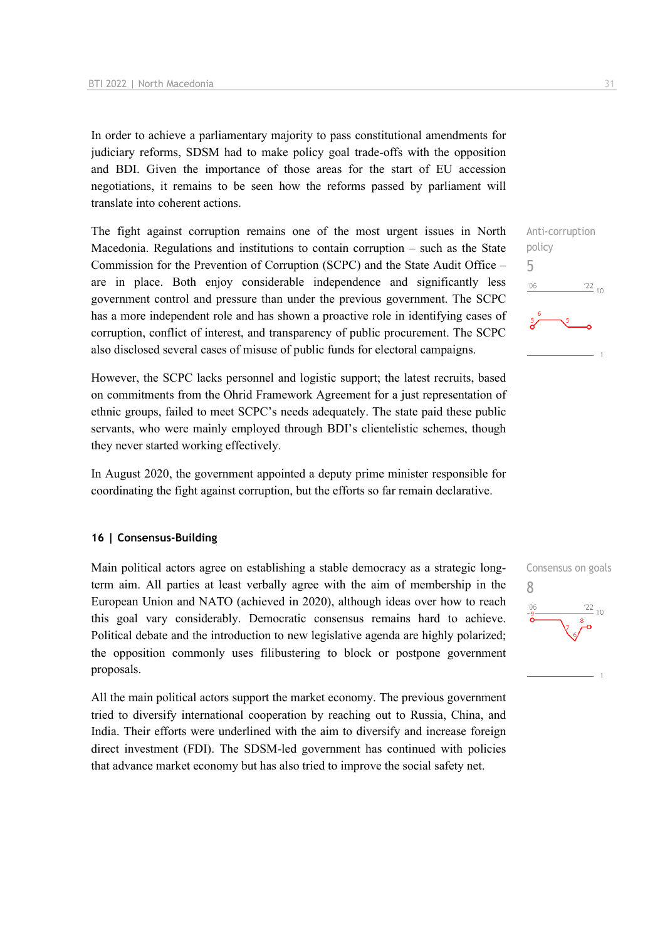In order to achieve a parliamentary majority to pass constitutional amendments for judiciary reforms, SDSM had to make policy goal trade-offs with the opposition and BDI. Given the importance of those areas for the start of EU accession negotiations, it remains to be seen how the reforms passed by parliament will translate into coherent actions.

The fight against corruption remains one of the most urgent issues in North Macedonia. Regulations and institutions to contain corruption – such as the State Commission for the Prevention of Corruption (SCPC) and the State Audit Office – are in place. Both enjoy considerable independence and significantly less government control and pressure than under the previous government. The SCPC has a more independent role and has shown a proactive role in identifying cases of corruption, conflict of interest, and transparency of public procurement. The SCPC also disclosed several cases of misuse of public funds for electoral campaigns.

However, the SCPC lacks personnel and logistic support; the latest recruits, based on commitments from the Ohrid Framework Agreement for a just representation of ethnic groups, failed to meet SCPC's needs adequately. The state paid these public servants, who were mainly employed through BDI's clientelistic schemes, though they never started working effectively.

In August 2020, the government appointed a deputy prime minister responsible for coordinating the fight against corruption, but the efforts so far remain declarative.

#### **16 | Consensus-Building**

Main political actors agree on establishing a stable democracy as a strategic longterm aim. All parties at least verbally agree with the aim of membership in the European Union and NATO (achieved in 2020), although ideas over how to reach this goal vary considerably. Democratic consensus remains hard to achieve. Political debate and the introduction to new legislative agenda are highly polarized; the opposition commonly uses filibustering to block or postpone government proposals.

All the main political actors support the market economy. The previous government tried to diversify international cooperation by reaching out to Russia, China, and India. Their efforts were underlined with the aim to diversify and increase foreign direct investment (FDI). The SDSM-led government has continued with policies that advance market economy but has also tried to improve the social safety net.



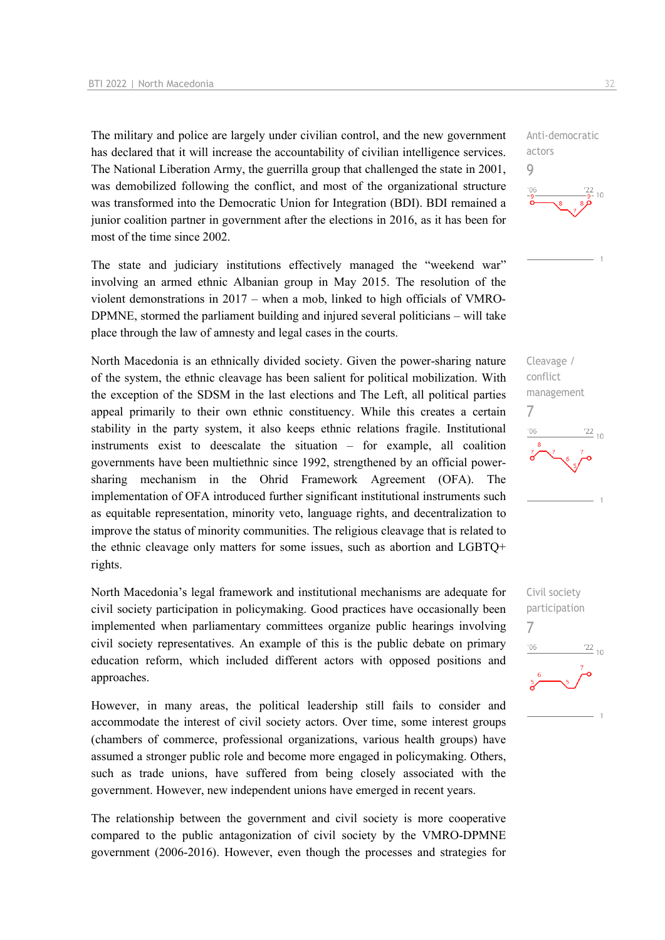The military and police are largely under civilian control, and the new government has declared that it will increase the accountability of civilian intelligence services. The National Liberation Army, the guerrilla group that challenged the state in 2001, was demobilized following the conflict, and most of the organizational structure was transformed into the Democratic Union for Integration (BDI). BDI remained a junior coalition partner in government after the elections in 2016, as it has been for most of the time since 2002.

The state and judiciary institutions effectively managed the "weekend war" involving an armed ethnic Albanian group in May 2015. The resolution of the violent demonstrations in 2017 – when a mob, linked to high officials of VMRO-DPMNE, stormed the parliament building and injured several politicians – will take place through the law of amnesty and legal cases in the courts.

North Macedonia is an ethnically divided society. Given the power-sharing nature of the system, the ethnic cleavage has been salient for political mobilization. With the exception of the SDSM in the last elections and The Left, all political parties appeal primarily to their own ethnic constituency. While this creates a certain stability in the party system, it also keeps ethnic relations fragile. Institutional instruments exist to deescalate the situation – for example, all coalition governments have been multiethnic since 1992, strengthened by an official powersharing mechanism in the Ohrid Framework Agreement (OFA). The implementation of OFA introduced further significant institutional instruments such as equitable representation, minority veto, language rights, and decentralization to improve the status of minority communities. The religious cleavage that is related to the ethnic cleavage only matters for some issues, such as abortion and LGBTQ+ rights.

North Macedonia's legal framework and institutional mechanisms are adequate for civil society participation in policymaking. Good practices have occasionally been implemented when parliamentary committees organize public hearings involving civil society representatives. An example of this is the public debate on primary education reform, which included different actors with opposed positions and approaches.

However, in many areas, the political leadership still fails to consider and accommodate the interest of civil society actors. Over time, some interest groups (chambers of commerce, professional organizations, various health groups) have assumed a stronger public role and become more engaged in policymaking. Others, such as trade unions, have suffered from being closely associated with the government. However, new independent unions have emerged in recent years.

The relationship between the government and civil society is more cooperative compared to the public antagonization of civil society by the VMRO-DPMNE government (2006-2016). However, even though the processes and strategies for

Anti-democratic actors 9  $10$ 





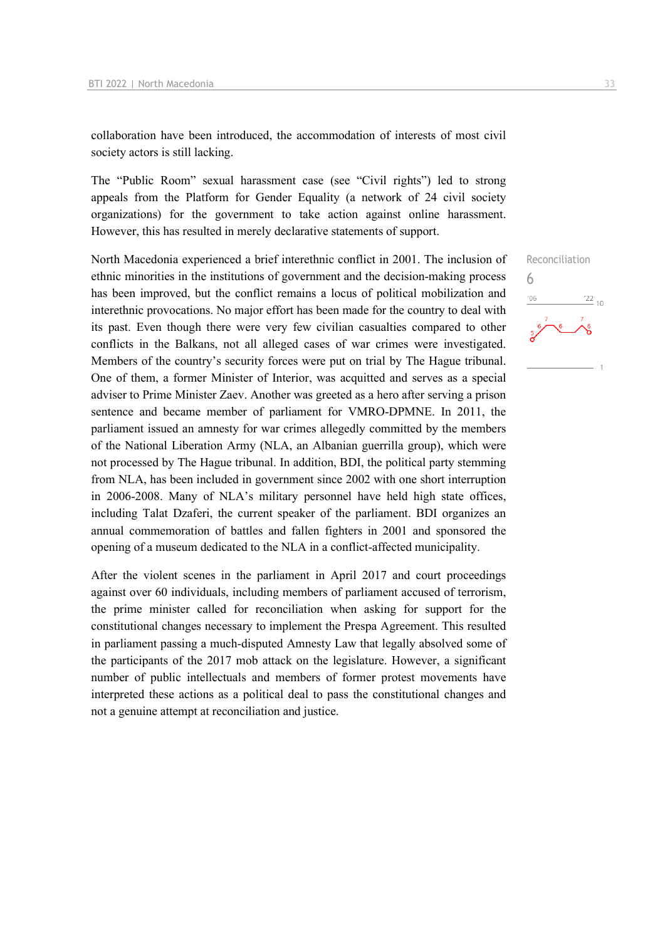collaboration have been introduced, the accommodation of interests of most civil society actors is still lacking.

The "Public Room" sexual harassment case (see "Civil rights") led to strong appeals from the Platform for Gender Equality (a network of 24 civil society organizations) for the government to take action against online harassment. However, this has resulted in merely declarative statements of support.

North Macedonia experienced a brief interethnic conflict in 2001. The inclusion of ethnic minorities in the institutions of government and the decision-making process has been improved, but the conflict remains a locus of political mobilization and interethnic provocations. No major effort has been made for the country to deal with its past. Even though there were very few civilian casualties compared to other conflicts in the Balkans, not all alleged cases of war crimes were investigated. Members of the country's security forces were put on trial by The Hague tribunal. One of them, a former Minister of Interior, was acquitted and serves as a special adviser to Prime Minister Zaev. Another was greeted as a hero after serving a prison sentence and became member of parliament for VMRO-DPMNE. In 2011, the parliament issued an amnesty for war crimes allegedly committed by the members of the National Liberation Army (NLA, an Albanian guerrilla group), which were not processed by The Hague tribunal. In addition, BDI, the political party stemming from NLA, has been included in government since 2002 with one short interruption in 2006-2008. Many of NLA's military personnel have held high state offices, including Talat Dzaferi, the current speaker of the parliament. BDI organizes an annual commemoration of battles and fallen fighters in 2001 and sponsored the opening of a museum dedicated to the NLA in a conflict-affected municipality.

After the violent scenes in the parliament in April 2017 and court proceedings against over 60 individuals, including members of parliament accused of terrorism, the prime minister called for reconciliation when asking for support for the constitutional changes necessary to implement the Prespa Agreement. This resulted in parliament passing a much-disputed Amnesty Law that legally absolved some of the participants of the 2017 mob attack on the legislature. However, a significant number of public intellectuals and members of former protest movements have interpreted these actions as a political deal to pass the constitutional changes and not a genuine attempt at reconciliation and justice.

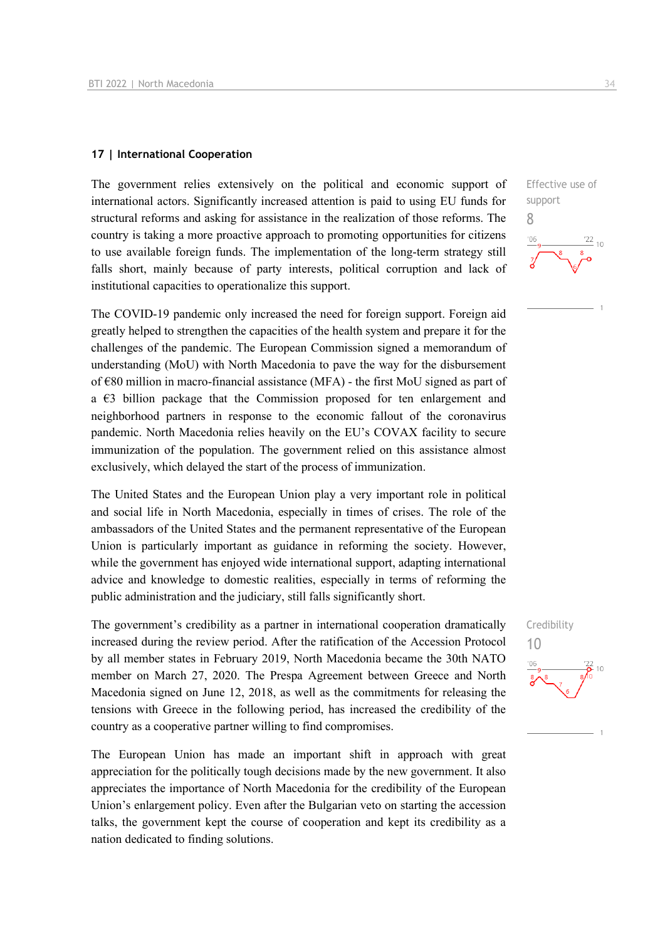#### **17 | International Cooperation**

The government relies extensively on the political and economic support of international actors. Significantly increased attention is paid to using EU funds for structural reforms and asking for assistance in the realization of those reforms. The country is taking a more proactive approach to promoting opportunities for citizens to use available foreign funds. The implementation of the long-term strategy still falls short, mainly because of party interests, political corruption and lack of institutional capacities to operationalize this support.

The COVID-19 pandemic only increased the need for foreign support. Foreign aid greatly helped to strengthen the capacities of the health system and prepare it for the challenges of the pandemic. The European Commission signed a memorandum of understanding (MoU) with North Macedonia to pave the way for the disbursement of €80 million in macro-financial assistance (MFA) - the first MoU signed as part of a  $\epsilon$ 3 billion package that the Commission proposed for ten enlargement and neighborhood partners in response to the economic fallout of the coronavirus pandemic. North Macedonia relies heavily on the EU's COVAX facility to secure immunization of the population. The government relied on this assistance almost exclusively, which delayed the start of the process of immunization.

The United States and the European Union play a very important role in political and social life in North Macedonia, especially in times of crises. The role of the ambassadors of the United States and the permanent representative of the European Union is particularly important as guidance in reforming the society. However, while the government has enjoyed wide international support, adapting international advice and knowledge to domestic realities, especially in terms of reforming the public administration and the judiciary, still falls significantly short.

The government's credibility as a partner in international cooperation dramatically increased during the review period. After the ratification of the Accession Protocol by all member states in February 2019, North Macedonia became the 30th NATO member on March 27, 2020. The Prespa Agreement between Greece and North Macedonia signed on June 12, 2018, as well as the commitments for releasing the tensions with Greece in the following period, has increased the credibility of the country as a cooperative partner willing to find compromises.

The European Union has made an important shift in approach with great appreciation for the politically tough decisions made by the new government. It also appreciates the importance of North Macedonia for the credibility of the European Union's enlargement policy. Even after the Bulgarian veto on starting the accession talks, the government kept the course of cooperation and kept its credibility as a nation dedicated to finding solutions.

Effective use of support 8  $'22$  $10$ 

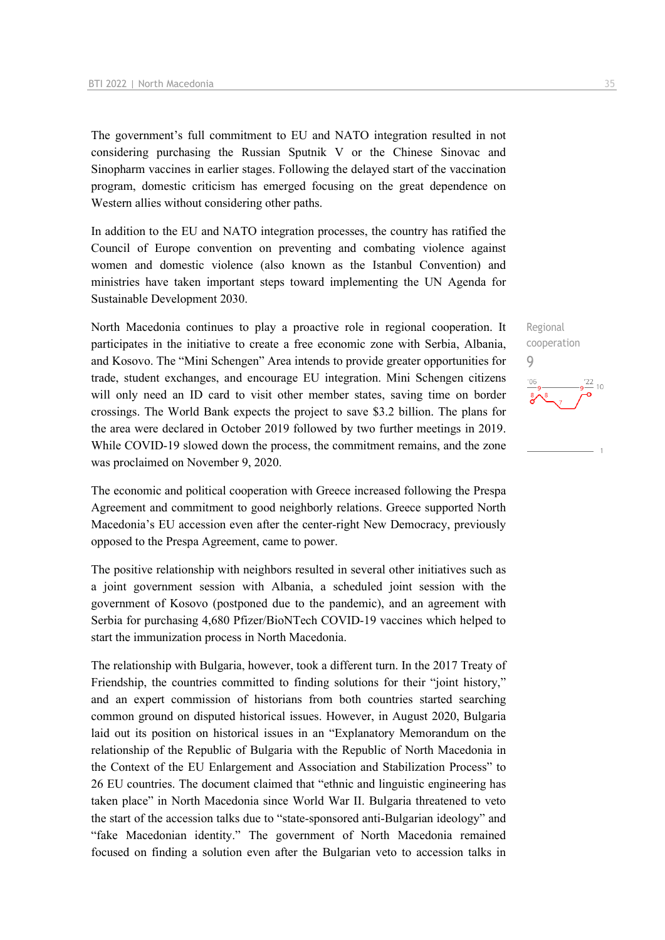The government's full commitment to EU and NATO integration resulted in not considering purchasing the Russian Sputnik V or the Chinese Sinovac and Sinopharm vaccines in earlier stages. Following the delayed start of the vaccination program, domestic criticism has emerged focusing on the great dependence on Western allies without considering other paths.

In addition to the EU and NATO integration processes, the country has ratified the Council of Europe convention on preventing and combating violence against women and domestic violence (also known as the Istanbul Convention) and ministries have taken important steps toward implementing the UN Agenda for Sustainable Development 2030.

North Macedonia continues to play a proactive role in regional cooperation. It participates in the initiative to create a free economic zone with Serbia, Albania, and Kosovo. The "Mini Schengen" Area intends to provide greater opportunities for trade, student exchanges, and encourage EU integration. Mini Schengen citizens will only need an ID card to visit other member states, saving time on border crossings. The World Bank expects the project to save \$3.2 billion. The plans for the area were declared in October 2019 followed by two further meetings in 2019. While COVID-19 slowed down the process, the commitment remains, and the zone was proclaimed on November 9, 2020.

The economic and political cooperation with Greece increased following the Prespa Agreement and commitment to good neighborly relations. Greece supported North Macedonia's EU accession even after the center-right New Democracy, previously opposed to the Prespa Agreement, came to power.

The positive relationship with neighbors resulted in several other initiatives such as a joint government session with Albania, a scheduled joint session with the government of Kosovo (postponed due to the pandemic), and an agreement with Serbia for purchasing 4,680 Pfizer/BioNTech COVID-19 vaccines which helped to start the immunization process in North Macedonia.

The relationship with Bulgaria, however, took a different turn. In the 2017 Treaty of Friendship, the countries committed to finding solutions for their "joint history," and an expert commission of historians from both countries started searching common ground on disputed historical issues. However, in August 2020, Bulgaria laid out its position on historical issues in an "Explanatory Memorandum on the relationship of the Republic of Bulgaria with the Republic of North Macedonia in the Context of the EU Enlargement and Association and Stabilization Process" to 26 EU countries. The document claimed that "ethnic and linguistic engineering has taken place" in North Macedonia since World War II. Bulgaria threatened to veto the start of the accession talks due to "state-sponsored anti-Bulgarian ideology" and "fake Macedonian identity." The government of North Macedonia remained focused on finding a solution even after the Bulgarian veto to accession talks in

 $\stackrel{22}{=}$  10

9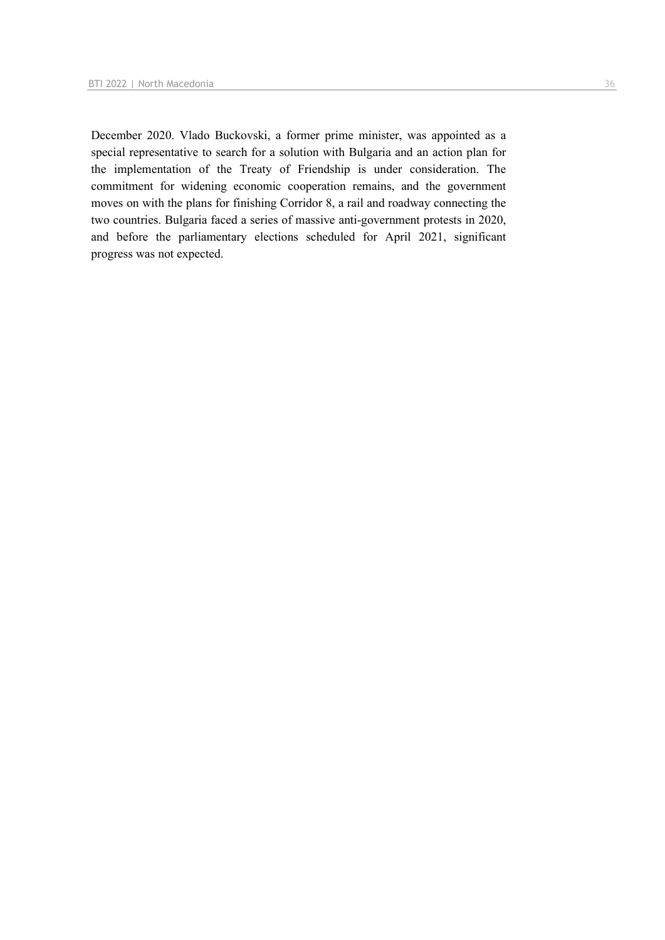December 2020. Vlado Buckovski, a former prime minister, was appointed as a special representative to search for a solution with Bulgaria and an action plan for the implementation of the Treaty of Friendship is under consideration. The commitment for widening economic cooperation remains, and the government moves on with the plans for finishing Corridor 8, a rail and roadway connecting the two countries. Bulgaria faced a series of massive anti-government protests in 2020, and before the parliamentary elections scheduled for April 2021, significant progress was not expected.